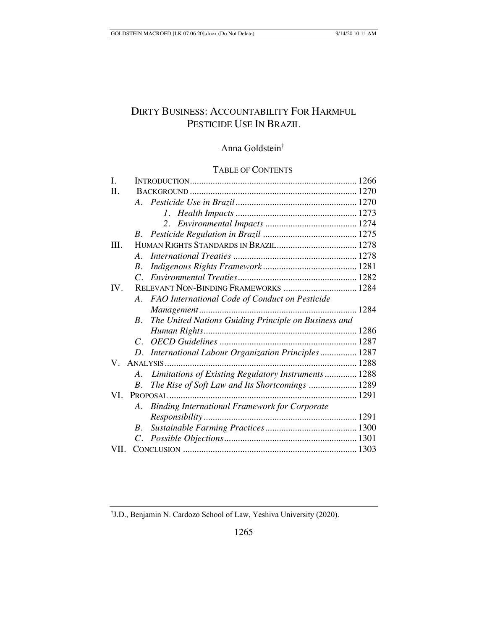# DIRTY BUSINESS: ACCOUNTABILITY FOR HARMFUL PESTICIDE USE IN BRAZIL

## Anna Goldstein†

## TABLE OF CONTENTS

| RELEVANT NON-BINDING FRAMEWORKS  1284                |
|------------------------------------------------------|
|                                                      |
|                                                      |
| The United Nations Guiding Principle on Business and |
|                                                      |
|                                                      |
| D. International Labour Organization Principles 1287 |
|                                                      |
| Limitations of Existing Regulatory Instruments 1288  |
| The Rise of Soft Law and Its Shortcomings  1289      |
|                                                      |
|                                                      |
|                                                      |
|                                                      |
|                                                      |
|                                                      |
|                                                      |

<sup>†</sup> J.D., Benjamin N. Cardozo School of Law, Yeshiva University (2020).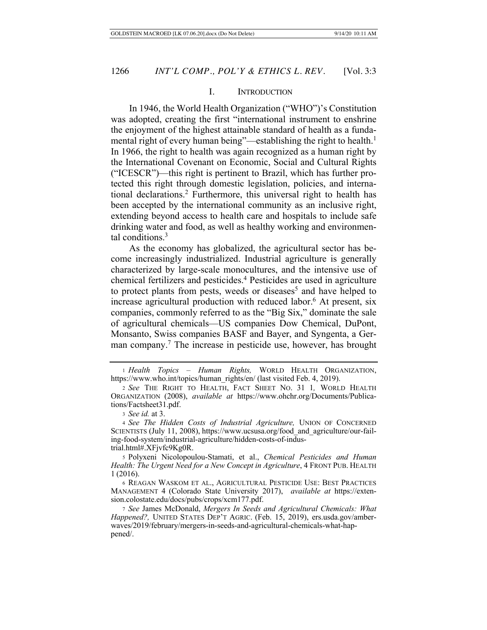## I. INTRODUCTION

In 1946, the World Health Organization ("WHO")'s Constitution was adopted, creating the first "international instrument to enshrine the enjoyment of the highest attainable standard of health as a fundamental right of every human being"—establishing the right to health.<sup>1</sup> In 1966, the right to health was again recognized as a human right by the International Covenant on Economic, Social and Cultural Rights ("ICESCR")—this right is pertinent to Brazil, which has further protected this right through domestic legislation, policies, and international declarations.<sup>2</sup> Furthermore, this universal right to health has been accepted by the international community as an inclusive right, extending beyond access to health care and hospitals to include safe drinking water and food, as well as healthy working and environmental conditions.3

As the economy has globalized, the agricultural sector has become increasingly industrialized. Industrial agriculture is generally characterized by large-scale monocultures, and the intensive use of chemical fertilizers and pesticides.4 Pesticides are used in agriculture to protect plants from pests, weeds or diseases<sup>5</sup> and have helped to increase agricultural production with reduced labor.<sup>6</sup> At present, six companies, commonly referred to as the "Big Six," dominate the sale of agricultural chemicals—US companies Dow Chemical, DuPont, Monsanto, Swiss companies BASF and Bayer, and Syngenta, a German company.<sup>7</sup> The increase in pesticide use, however, has brought

<sup>1</sup> *Health Topics – Human Rights,* WORLD HEALTH ORGANIZATION, https://www.who.int/topics/human\_rights/en/ (last visited Feb. 4, 2019).

<sup>2</sup> *See* THE RIGHT TO HEALTH, FACT SHEET NO. 31 1*,* WORLD HEALTH ORGANIZATION (2008), *available at* https://www.ohchr.org/Documents/Publications/Factsheet31.pdf.

<sup>3</sup> *See id.* at 3.

<sup>4</sup> *See The Hidden Costs of Industrial Agriculture,* UNION OF CONCERNED SCIENTISTS (July 11, 2008), https://www.ucsusa.org/food\_and\_agriculture/our-failing-food-system/industrial-agriculture/hidden-costs-of-industrial.html#.XFjvfc9Kg0R.

<sup>5</sup> Polyxeni Nicolopoulou-Stamati, et al., *Chemical Pesticides and Human Health: The Urgent Need for a New Concept in Agriculture*, 4 FRONT PUB. HEALTH 1 (2016).

<sup>6</sup> REAGAN WASKOM ET AL., AGRICULTURAL PESTICIDE USE: BEST PRACTICES MANAGEMENT 4 (Colorado State University 2017), *available at* https://extension.colostate.edu/docs/pubs/crops/xcm177.pdf.

<sup>7</sup> *See* James McDonald, *Mergers In Seeds and Agricultural Chemicals: What Happened?,* UNITED STATES DEP'T AGRIC. (Feb. 15, 2019), ers.usda.gov/amberwaves/2019/february/mergers-in-seeds-and-agricultural-chemicals-what-happened/.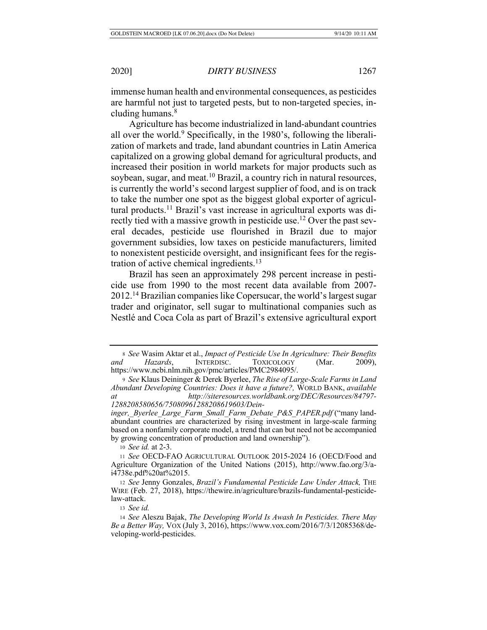immense human health and environmental consequences, as pesticides are harmful not just to targeted pests, but to non-targeted species, including humans.<sup>8</sup>

Agriculture has become industrialized in land-abundant countries all over the world.<sup>9</sup> Specifically, in the 1980's, following the liberalization of markets and trade, land abundant countries in Latin America capitalized on a growing global demand for agricultural products, and increased their position in world markets for major products such as soybean, sugar, and meat.<sup>10</sup> Brazil, a country rich in natural resources, is currently the world's second largest supplier of food, and is on track to take the number one spot as the biggest global exporter of agricultural products.<sup>11</sup> Brazil's vast increase in agricultural exports was directly tied with a massive growth in pesticide use.<sup>12</sup> Over the past several decades, pesticide use flourished in Brazil due to major government subsidies, low taxes on pesticide manufacturers, limited to nonexistent pesticide oversight, and insignificant fees for the registration of active chemical ingredients.<sup>13</sup>

Brazil has seen an approximately 298 percent increase in pesticide use from 1990 to the most recent data available from 2007- 2012.14 Brazilian companies like Copersucar, the world's largest sugar trader and originator, sell sugar to multinational companies such as Nestlé and Coca Cola as part of Brazil's extensive agricultural export

<sup>10</sup> *See id.* at 2-3.

<sup>8</sup> *See* Wasim Aktar et al., *Impact of Pesticide Use In Agriculture: Their Benefits and Hazards*, INTERDISC. TOXICOLOGY (Mar. 2009), https://www.ncbi.nlm.nih.gov/pmc/articles/PMC2984095/.

<sup>9</sup> *See* Klaus Deininger & Derek Byerlee, *The Rise of Large-Scale Farms in Land Abundant Developing Countries: Does it have a future?,* WORLD BANK, *available at http://siteresources.worldbank.org/DEC/Resources/84797- 1288208580656/75080961288208619603/Dein-*

*inger,\_Byerlee\_Large\_Farm\_Small\_Farm\_Debate\_P&S\_PAPER.pdf* ("many landabundant countries are characterized by rising investment in large-scale farming based on a nonfamily corporate model, a trend that can but need not be accompanied by growing concentration of production and land ownership").

<sup>11</sup> *See* OECD-FAO AGRICULTURAL OUTLOOK 2015-2024 16 (OECD/Food and Agriculture Organization of the United Nations (2015), http://www.fao.org/3/ai4738e.pdf%20at%2015.

<sup>12</sup> *See* Jenny Gonzales, *Brazil's Fundamental Pesticide Law Under Attack,* THE WIRE (Feb. 27, 2018), https://thewire.in/agriculture/brazils-fundamental-pesticidelaw-attack.

<sup>13</sup> *See id.* 

<sup>14</sup> *See* Aleszu Bajak, *The Developing World Is Awash In Pesticides. There May Be a Better Way,* VOX (July 3, 2016), https://www.vox.com/2016/7/3/12085368/developing-world-pesticides.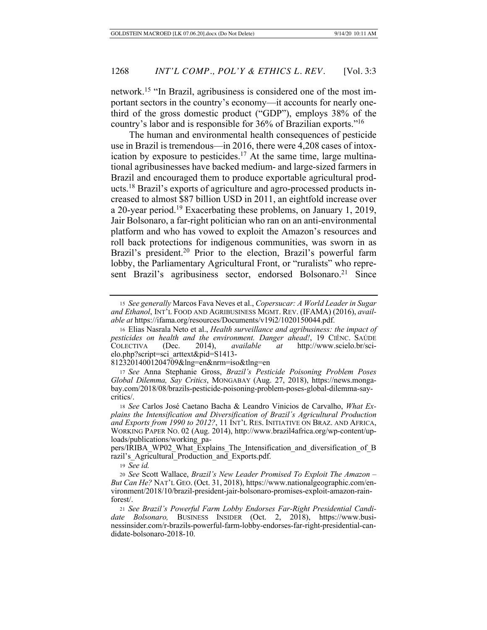network.15 "In Brazil, agribusiness is considered one of the most important sectors in the country's economy—it accounts for nearly onethird of the gross domestic product ("GDP"), employs 38% of the country's labor and is responsible for 36% of Brazilian exports."16

The human and environmental health consequences of pesticide use in Brazil is tremendous—in 2016, there were 4,208 cases of intoxication by exposure to pesticides.<sup>17</sup> At the same time, large multinational agribusinesses have backed medium- and large-sized farmers in Brazil and encouraged them to produce exportable agricultural products.18 Brazil's exports of agriculture and agro-processed products increased to almost \$87 billion USD in 2011, an eightfold increase over a 20-year period.19 Exacerbating these problems, on January 1, 2019, Jair Bolsonaro, a far-right politician who ran on an anti-environmental platform and who has vowed to exploit the Amazon's resources and roll back protections for indigenous communities, was sworn in as Brazil's president.<sup>20</sup> Prior to the election, Brazil's powerful farm lobby, the Parliamentary Agricultural Front, or "ruralists" who represent Brazil's agribusiness sector, endorsed Bolsonaro.<sup>21</sup> Since

81232014001204709&lng=en&nrm=iso&tlng=en

<sup>19</sup> *See id.*

<sup>15</sup> *See generally* Marcos Fava Neves et al., *Copersucar: A World Leader in Sugar and Ethanol*, INT'L FOOD AND AGRIBUSINESS MGMT. REV. (IFAMA) (2016), *available at* https://ifama.org/resources/Documents/v19i2/1020150044.pdf.

<sup>16</sup> Elias Nasrala Neto et al., *Health surveillance and agribusiness: the impact of pesticides on health and the environment. Danger ahead!*, 19 CIÊNC. SAÚDE COLECTIVA (Dec. 2014), *available at* http://www.scielo.br/scielo.php?script=sci\_arttext&pid=S1413-

<sup>17</sup> *See* Anna Stephanie Gross, *Brazil's Pesticide Poisoning Problem Poses Global Dilemma, Say Critics*, MONGABAY (Aug. 27, 2018), https://news.mongabay.com/2018/08/brazils-pesticide-poisoning-problem-poses-global-dilemma-saycritics/.

<sup>18</sup> *See* Carlos José Caetano Bacha & Leandro Vinicios de Carvalho, *What Explains the Intensification and Diversification of Brazil´s Agricultural Production and Exports from 1990 to 2012?*, 11 INT'L RES. INITIATIVE ON BRAZ. AND AFRICA, WORKING PAPER NO. 02 (Aug. 2014), http://www.brazil4africa.org/wp-content/uploads/publications/working\_pa-

pers/IRIBA\_WP02\_What\_Explains\_The\_Intensification\_and\_diversification\_of\_B razil's Agricultural\_Production\_and\_Exports.pdf.

<sup>20</sup> *See* Scott Wallace, *Brazil's New Leader Promised To Exploit The Amazon – But Can He?* NAT'L GEO. (Oct. 31, 2018), https://www.nationalgeographic.com/environment/2018/10/brazil-president-jair-bolsonaro-promises-exploit-amazon-rainforest/.

<sup>21</sup> *See Brazil's Powerful Farm Lobby Endorses Far-Right Presidential Candidate Bolsonaro,* BUSINESS INSIDER (Oct. 2, 2018), https://www.businessinsider.com/r-brazils-powerful-farm-lobby-endorses-far-right-presidential-candidate-bolsonaro-2018-10.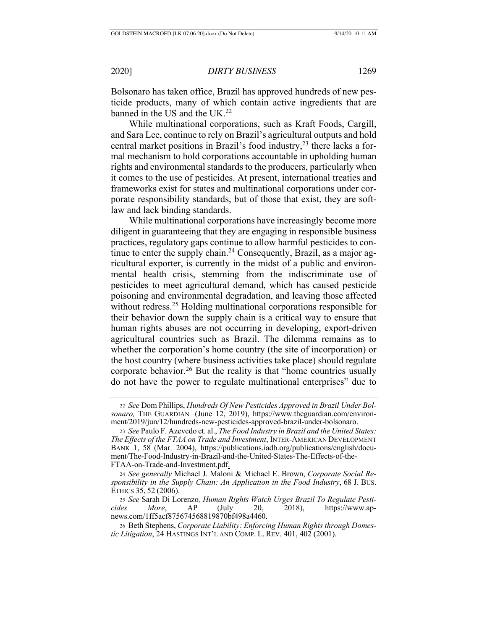Bolsonaro has taken office, Brazil has approved hundreds of new pesticide products, many of which contain active ingredients that are banned in the US and the UK.<sup>22</sup>

While multinational corporations, such as Kraft Foods, Cargill, and Sara Lee, continue to rely on Brazil's agricultural outputs and hold central market positions in Brazil's food industry,  $2<sup>3</sup>$  there lacks a formal mechanism to hold corporations accountable in upholding human rights and environmental standards to the producers, particularly when it comes to the use of pesticides. At present, international treaties and frameworks exist for states and multinational corporations under corporate responsibility standards, but of those that exist, they are softlaw and lack binding standards.

While multinational corporations have increasingly become more diligent in guaranteeing that they are engaging in responsible business practices, regulatory gaps continue to allow harmful pesticides to continue to enter the supply chain.<sup>24</sup> Consequently, Brazil, as a major agricultural exporter, is currently in the midst of a public and environmental health crisis, stemming from the indiscriminate use of pesticides to meet agricultural demand, which has caused pesticide poisoning and environmental degradation, and leaving those affected without redress.<sup>25</sup> Holding multinational corporations responsible for their behavior down the supply chain is a critical way to ensure that human rights abuses are not occurring in developing, export-driven agricultural countries such as Brazil. The dilemma remains as to whether the corporation's home country (the site of incorporation) or the host country (where business activities take place) should regulate corporate behavior.<sup>26</sup> But the reality is that "home countries usually do not have the power to regulate multinational enterprises" due to

<sup>22</sup> *See* Dom Phillips, *Hundreds Of New Pesticides Approved in Brazil Under Bolsonaro,* THE GUARDIAN (June 12, 2019), https://www.theguardian.com/environment/2019/jun/12/hundreds-new-pesticides-approved-brazil-under-bolsonaro.

<sup>23</sup> *See* Paulo F. Azevedo et. al., *The Food Industry in Brazil and the United States: The Effects of the FTAA on Trade and Investment*, INTER-AMERICAN DEVELOPMENT BANK 1, 58 (Mar. 2004), https://publications.iadb.org/publications/english/document/The-Food-Industry-in-Brazil-and-the-United-States-The-Effects-of-the-FTAA-on-Trade-and-Investment.pdf.

<sup>24</sup> *See generally* Michael J. Maloni & Michael E. Brown, *Corporate Social Responsibility in the Supply Chain: An Application in the Food Industry*, 68 J. BUS. ETHICS 35, 52 (2006).

<sup>25</sup> *See* Sarah Di Lorenzo*, Human Rights Watch Urges Brazil To Regulate Pesticides More*, AP (July 20, 2018), https://www.apnews.com/1ff5acf875674568819870bf498a4460.

<sup>26</sup> Beth Stephens, *Corporate Liability: Enforcing Human Rights through Domestic Litigation*, 24 HASTINGS INT'L AND COMP. L. REV. 401, 402 (2001).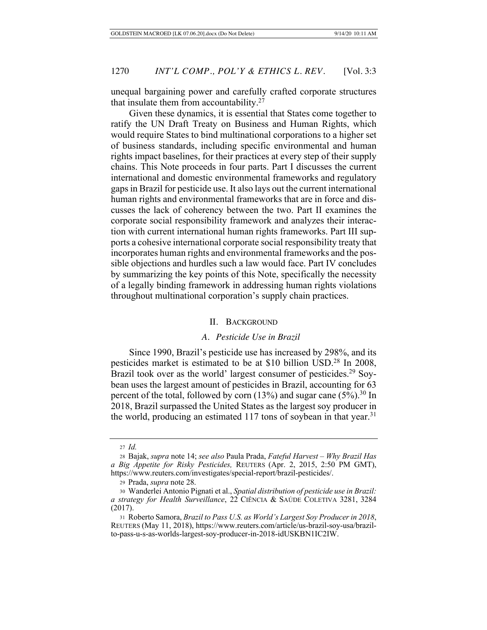unequal bargaining power and carefully crafted corporate structures that insulate them from accountability. $27$ 

Given these dynamics, it is essential that States come together to ratify the UN Draft Treaty on Business and Human Rights, which would require States to bind multinational corporations to a higher set of business standards, including specific environmental and human rights impact baselines, for their practices at every step of their supply chains. This Note proceeds in four parts. Part I discusses the current international and domestic environmental frameworks and regulatory gaps in Brazil for pesticide use. It also lays out the current international human rights and environmental frameworks that are in force and discusses the lack of coherency between the two. Part II examines the corporate social responsibility framework and analyzes their interaction with current international human rights frameworks. Part III supports a cohesive international corporate social responsibility treaty that incorporates human rights and environmental frameworks and the possible objections and hurdles such a law would face. Part IV concludes by summarizing the key points of this Note, specifically the necessity of a legally binding framework in addressing human rights violations throughout multinational corporation's supply chain practices.

#### II. BACKGROUND

#### *A. Pesticide Use in Brazil*

Since 1990, Brazil's pesticide use has increased by 298%, and its pesticides market is estimated to be at \$10 billion USD.28 In 2008, Brazil took over as the world' largest consumer of pesticides.<sup>29</sup> Soybean uses the largest amount of pesticides in Brazil, accounting for 63 percent of the total, followed by corn  $(13%)$  and sugar cane  $(5%)$ .<sup>30</sup> In 2018, Brazil surpassed the United States as the largest soy producer in the world, producing an estimated 117 tons of soybean in that year.<sup>31</sup>

<sup>27</sup> *Id.*

<sup>28</sup> Bajak, *supra* note 14; *see also* Paula Prada, *Fateful Harvest – Why Brazil Has a Big Appetite for Risky Pesticides,* REUTERS (Apr. 2, 2015, 2:50 PM GMT), https://www.reuters.com/investigates/special-report/brazil-pesticides/.

<sup>29</sup> Prada, *supra* note 28.

<sup>30</sup> Wanderlei Antonio Pignati et al., *Spatial distribution of pesticide use in Brazil: a strategy for Health Surveillance*, 22 CIÊNCIA & SAÚDE COLETIVA 3281, 3284 (2017).

<sup>31</sup> Roberto Samora, *Brazil to Pass U.S. as World's Largest Soy Producer in 2018*, REUTERS (May 11, 2018), https://www.reuters.com/article/us-brazil-soy-usa/brazilto-pass-u-s-as-worlds-largest-soy-producer-in-2018-idUSKBN1IC2IW.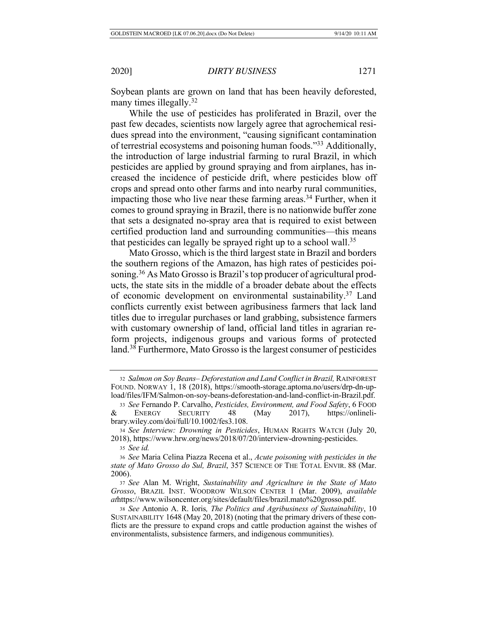Soybean plants are grown on land that has been heavily deforested, many times illegally.<sup>32</sup>

While the use of pesticides has proliferated in Brazil, over the past few decades, scientists now largely agree that agrochemical residues spread into the environment, "causing significant contamination of terrestrial ecosystems and poisoning human foods."33 Additionally, the introduction of large industrial farming to rural Brazil, in which pesticides are applied by ground spraying and from airplanes, has increased the incidence of pesticide drift, where pesticides blow off crops and spread onto other farms and into nearby rural communities, impacting those who live near these farming areas.<sup>34</sup> Further, when it comes to ground spraying in Brazil, there is no nationwide buffer zone that sets a designated no-spray area that is required to exist between certified production land and surrounding communities—this means that pesticides can legally be sprayed right up to a school wall.<sup>35</sup>

Mato Grosso, which is the third largest state in Brazil and borders the southern regions of the Amazon, has high rates of pesticides poisoning.36 As Mato Grosso is Brazil's top producer of agricultural products, the state sits in the middle of a broader debate about the effects of economic development on environmental sustainability.37 Land conflicts currently exist between agribusiness farmers that lack land titles due to irregular purchases or land grabbing, subsistence farmers with customary ownership of land, official land titles in agrarian reform projects, indigenous groups and various forms of protected land.38 Furthermore, Mato Grosso is the largest consumer of pesticides

<sup>35</sup> *See id.*

<sup>32</sup> *Salmon on Soy Beans– Deforestation and Land Conflict in Brazil,* RAINFOREST FOUND. NORWAY 1, 18 (2018), https://smooth-storage.aptoma.no/users/drp-dn-upload/files/IFM/Salmon-on-soy-beans-deforestation-and-land-conflict-in-Brazil.pdf.

<sup>33</sup> *See* Fernando P. Carvalho, *Pesticides, Environment, and Food Safety*, 6 FOOD & ENERGY SECURITY 48 (May 2017), https://onlinelibrary.wiley.com/doi/full/10.1002/fes3.108.

<sup>34</sup> *See Interview: Drowning in Pesticides*, HUMAN RIGHTS WATCH (July 20, 2018), https://www.hrw.org/news/2018/07/20/interview-drowning-pesticides.

<sup>36</sup> *See* Maria Celina Piazza Recena et al., *Acute poisoning with pesticides in the state of Mato Grosso do Sul, Brazil*, 357 SCIENCE OF THE TOTAL ENVIR. 88 (Mar. 2006).

<sup>37</sup> *See* Alan M. Wright, *Sustainability and Agriculture in the State of Mato Grosso*, BRAZIL INST. WOODROW WILSON CENTER 1 (Mar. 2009), *available at*https://www.wilsoncenter.org/sites/default/files/brazil.mato%20grosso.pdf.

<sup>38</sup> *See* Antonio A. R. Ioris*, The Politics and Agribusiness of Sustainability*, 10 SUSTAINABILITY 1648 (May 20, 2018) (noting that the primary drivers of these conflicts are the pressure to expand crops and cattle production against the wishes of environmentalists, subsistence farmers, and indigenous communities).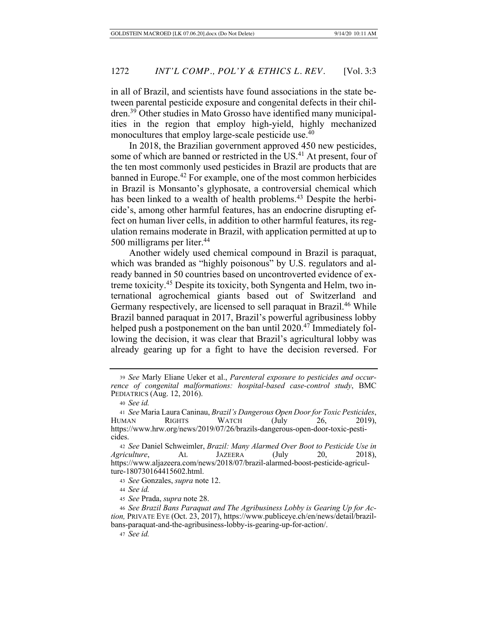in all of Brazil, and scientists have found associations in the state between parental pesticide exposure and congenital defects in their children.39 Other studies in Mato Grosso have identified many municipalities in the region that employ high-yield, highly mechanized monocultures that employ large-scale pesticide use.<sup>40</sup>

In 2018, the Brazilian government approved 450 new pesticides, some of which are banned or restricted in the US.<sup>41</sup> At present, four of the ten most commonly used pesticides in Brazil are products that are banned in Europe.42 For example, one of the most common herbicides in Brazil is Monsanto's glyphosate, a controversial chemical which has been linked to a wealth of health problems.<sup>43</sup> Despite the herbicide's, among other harmful features, has an endocrine disrupting effect on human liver cells, in addition to other harmful features, its regulation remains moderate in Brazil, with application permitted at up to 500 milligrams per liter.44

Another widely used chemical compound in Brazil is paraquat, which was branded as "highly poisonous" by U.S. regulators and already banned in 50 countries based on uncontroverted evidence of extreme toxicity.45 Despite its toxicity, both Syngenta and Helm, two international agrochemical giants based out of Switzerland and Germany respectively, are licensed to sell paraquat in Brazil.<sup>46</sup> While Brazil banned paraquat in 2017, Brazil's powerful agribusiness lobby helped push a postponement on the ban until 2020.<sup>47</sup> Immediately following the decision, it was clear that Brazil's agricultural lobby was already gearing up for a fight to have the decision reversed. For

<sup>47</sup> *See id.* 

<sup>39</sup> *See* Marly Eliane Ueker et al., *Parenteral exposure to pesticides and occurrence of congenital malformations: hospital-based case-control study*, BMC PEDIATRICS (Aug. 12, 2016).

<sup>40</sup> *See id.*

<sup>41</sup> *See* Maria Laura Caninau, *Brazil's Dangerous Open Door for Toxic Pesticides*, HUMAN RIGHTS WATCH (July 26, 2019), https://www.hrw.org/news/2019/07/26/brazils-dangerous-open-door-toxic-pesticides.

<sup>42</sup> *See* Daniel Schweimler, *Brazil: Many Alarmed Over Boot to Pesticide Use in Agriculture*, AL JAZEERA (July 20, 2018), https://www.aljazeera.com/news/2018/07/brazil-alarmed-boost-pesticide-agriculture-180730164415602.html.

<sup>43</sup> *See* Gonzales, *supra* note 12.

<sup>44</sup> *See id.*

<sup>45</sup> *See* Prada, *supra* note 28.

<sup>46</sup> *See Brazil Bans Paraquat and The Agribusiness Lobby is Gearing Up for Action,* PRIVATE EYE (Oct. 23, 2017), https://www.publiceye.ch/en/news/detail/brazilbans-paraquat-and-the-agribusiness-lobby-is-gearing-up-for-action/.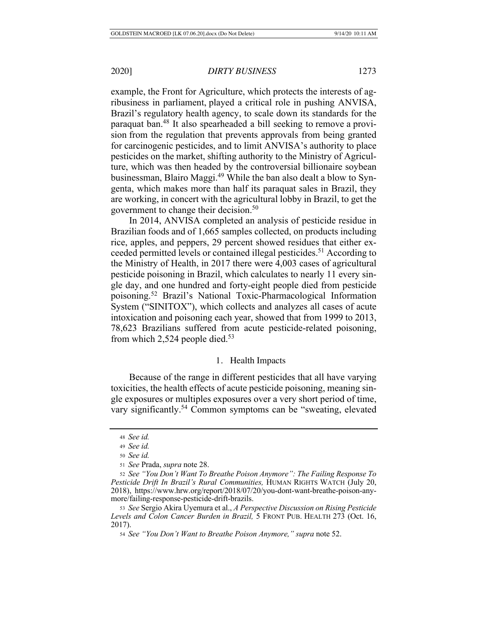example, the Front for Agriculture, which protects the interests of agribusiness in parliament, played a critical role in pushing ANVISA, Brazil's regulatory health agency, to scale down its standards for the paraquat ban.48 It also spearheaded a bill seeking to remove a provision from the regulation that prevents approvals from being granted for carcinogenic pesticides, and to limit ANVISA's authority to place pesticides on the market, shifting authority to the Ministry of Agriculture, which was then headed by the controversial billionaire soybean businessman, Blairo Maggi.49 While the ban also dealt a blow to Syngenta, which makes more than half its paraquat sales in Brazil, they are working, in concert with the agricultural lobby in Brazil, to get the government to change their decision.50

In 2014, ANVISA completed an analysis of pesticide residue in Brazilian foods and of 1,665 samples collected, on products including rice, apples, and peppers, 29 percent showed residues that either exceeded permitted levels or contained illegal pesticides.51 According to the Ministry of Health, in 2017 there were 4,003 cases of agricultural pesticide poisoning in Brazil, which calculates to nearly 11 every single day, and one hundred and forty-eight people died from pesticide poisoning.52 Brazil's National Toxic-Pharmacological Information System ("SINITOX"), which collects and analyzes all cases of acute intoxication and poisoning each year, showed that from 1999 to 2013, 78,623 Brazilians suffered from acute pesticide-related poisoning, from which  $2,524$  people died.<sup>53</sup>

#### 1. Health Impacts

Because of the range in different pesticides that all have varying toxicities, the health effects of acute pesticide poisoning, meaning single exposures or multiples exposures over a very short period of time, vary significantly.54 Common symptoms can be "sweating, elevated

<sup>48</sup> *See id.*

<sup>49</sup> *See id.*

<sup>50</sup> *See id.* 

<sup>51</sup> *See* Prada, *supra* note 28.

<sup>52</sup> *See "You Don't Want To Breathe Poison Anymore": The Failing Response To Pesticide Drift In Brazil's Rural Communities,* HUMAN RIGHTS WATCH (July 20, 2018), https://www.hrw.org/report/2018/07/20/you-dont-want-breathe-poison-anymore/failing-response-pesticide-drift-brazils.

<sup>53</sup> *See* Sergio Akira Uyemura et al., *A Perspective Discussion on Rising Pesticide Levels and Colon Cancer Burden in Brazil,* 5 FRONT PUB. HEALTH 273 (Oct. 16, 2017).

<sup>54</sup> *See "You Don't Want to Breathe Poison Anymore," supra* note 52.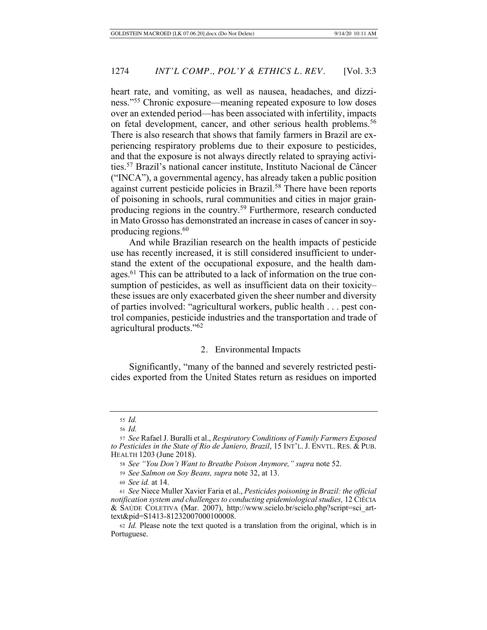heart rate, and vomiting, as well as nausea, headaches, and dizziness."55 Chronic exposure—meaning repeated exposure to low doses over an extended period—has been associated with infertility, impacts on fetal development, cancer, and other serious health problems.<sup>56</sup> There is also research that shows that family farmers in Brazil are experiencing respiratory problems due to their exposure to pesticides, and that the exposure is not always directly related to spraying activities.57 Brazil's national cancer institute, Instituto Nacional de Câncer ("INCA"), a governmental agency, has already taken a public position against current pesticide policies in Brazil.<sup>58</sup> There have been reports of poisoning in schools, rural communities and cities in major grainproducing regions in the country.59 Furthermore, research conducted in Mato Grosso has demonstrated an increase in cases of cancer in soyproducing regions.60

And while Brazilian research on the health impacts of pesticide use has recently increased, it is still considered insufficient to understand the extent of the occupational exposure, and the health damages.<sup>61</sup> This can be attributed to a lack of information on the true consumption of pesticides, as well as insufficient data on their toxicity– these issues are only exacerbated given the sheer number and diversity of parties involved: "agricultural workers, public health . . . pest control companies, pesticide industries and the transportation and trade of agricultural products."62

## 2. Environmental Impacts

Significantly, "many of the banned and severely restricted pesticides exported from the United States return as residues on imported

<sup>55</sup> *Id.* 

<sup>56</sup> *Id.*

<sup>57</sup> *See* Rafael J. Buralli et al., *Respiratory Conditions of Family Farmers Exposed to Pesticides in the State of Rio de Janiero, Brazil*, 15 INT'L. J. ENVTL. RES. & PUB. HEALTH 1203 (June 2018).

<sup>58</sup> *See "You Don't Want to Breathe Poison Anymore," supra* note 52.

<sup>59</sup> *See Salmon on Soy Beans, supra* note 32, at 13.

<sup>60</sup> *See id.* at 14.

<sup>61</sup> *See* Niece Muller Xavier Faria et al., *Pesticides poisoning in Brazil: the official notification system and challenges to conducting epidemiological studies,* 12 CIÊCIA & SAÚDE COLETIVA (Mar. 2007), http://www.scielo.br/scielo.php?script=sci\_arttext&pid=S1413-81232007000100008.

<sup>62</sup> *Id.* Please note the text quoted is a translation from the original, which is in Portuguese.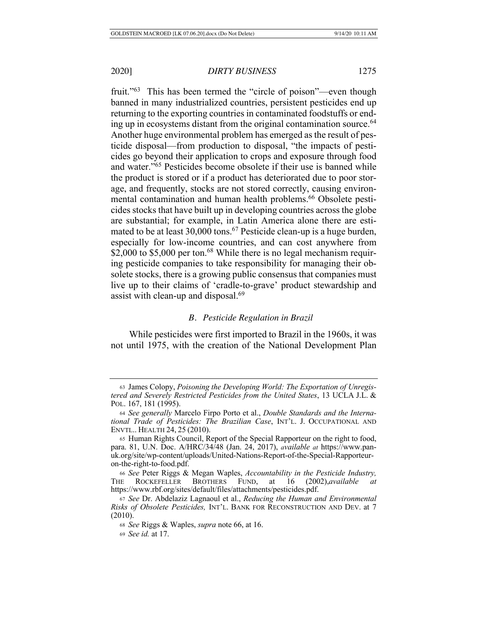fruit."63 This has been termed the "circle of poison"—even though banned in many industrialized countries, persistent pesticides end up returning to the exporting countries in contaminated foodstuffs or ending up in ecosystems distant from the original contamination source.<sup>64</sup> Another huge environmental problem has emerged as the result of pesticide disposal—from production to disposal, "the impacts of pesticides go beyond their application to crops and exposure through food and water."65 Pesticides become obsolete if their use is banned while the product is stored or if a product has deteriorated due to poor storage, and frequently, stocks are not stored correctly, causing environmental contamination and human health problems.<sup>66</sup> Obsolete pesticides stocks that have built up in developing countries across the globe are substantial; for example, in Latin America alone there are estimated to be at least  $30,000$  tons.<sup>67</sup> Pesticide clean-up is a huge burden, especially for low-income countries, and can cost anywhere from \$2,000 to \$5,000 per ton.<sup>68</sup> While there is no legal mechanism requiring pesticide companies to take responsibility for managing their obsolete stocks, there is a growing public consensus that companies must live up to their claims of 'cradle-to-grave' product stewardship and assist with clean-up and disposal.<sup>69</sup>

## *B. Pesticide Regulation in Brazil*

While pesticides were first imported to Brazil in the 1960s, it was not until 1975, with the creation of the National Development Plan

<sup>63</sup> James Colopy, *Poisoning the Developing World: The Exportation of Unregistered and Severely Restricted Pesticides from the United States*, 13 UCLA J.L. & POL. 167, 181 (1995).

<sup>64</sup> *See generally* Marcelo Firpo Porto et al., *Double Standards and the International Trade of Pesticides: The Brazilian Case*, INT'L. J. OCCUPATIONAL AND ENVTL.. HEALTH 24, 25 (2010).

<sup>65</sup> Human Rights Council, Report of the Special Rapporteur on the right to food, para. 81, U.N. Doc. A/HRC/34/48 (Jan. 24, 2017), *available at* https://www.panuk.org/site/wp-content/uploads/United-Nations-Report-of-the-Special-Rapporteuron-the-right-to-food.pdf.

<sup>66</sup> *See* Peter Riggs & Megan Waples, *Accountability in the Pesticide Industry,*  THE ROCKEFELLER BROTHERS FUND, at 16 (2002),*available at* https://www.rbf.org/sites/default/files/attachments/pesticides.pdf.

<sup>67</sup> *See* Dr. Abdelaziz Lagnaoul et al., *Reducing the Human and Environmental Risks of Obsolete Pesticides,* INT'L. BANK FOR RECONSTRUCTION AND DEV. at 7 (2010).

<sup>68</sup> *See* Riggs & Waples, *supra* note 66, at 16.

<sup>69</sup> *See id.* at 17.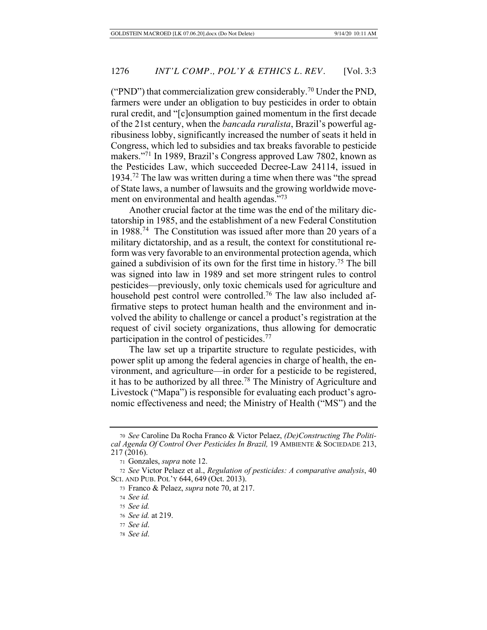("PND") that commercialization grew considerably.70 Under the PND, farmers were under an obligation to buy pesticides in order to obtain rural credit, and "[c]onsumption gained momentum in the first decade of the 21st century, when the *bancada ruralista*, Brazil's powerful agribusiness lobby, significantly increased the number of seats it held in Congress, which led to subsidies and tax breaks favorable to pesticide makers."71 In 1989, Brazil's Congress approved Law 7802, known as the Pesticides Law, which succeeded Decree-Law 24114, issued in 1934.72 The law was written during a time when there was "the spread of State laws, a number of lawsuits and the growing worldwide movement on environmental and health agendas."<sup>73</sup>

Another crucial factor at the time was the end of the military dictatorship in 1985, and the establishment of a new Federal Constitution in 1988.74 The Constitution was issued after more than 20 years of a military dictatorship, and as a result, the context for constitutional reform was very favorable to an environmental protection agenda, which gained a subdivision of its own for the first time in history.75 The bill was signed into law in 1989 and set more stringent rules to control pesticides—previously, only toxic chemicals used for agriculture and household pest control were controlled.<sup>76</sup> The law also included affirmative steps to protect human health and the environment and involved the ability to challenge or cancel a product's registration at the request of civil society organizations, thus allowing for democratic participation in the control of pesticides.77

The law set up a tripartite structure to regulate pesticides, with power split up among the federal agencies in charge of health, the environment, and agriculture—in order for a pesticide to be registered, it has to be authorized by all three.78 The Ministry of Agriculture and Livestock ("Mapa") is responsible for evaluating each product's agronomic effectiveness and need; the Ministry of Health ("MS") and the

<sup>70</sup> *See* Caroline Da Rocha Franco & Victor Pelaez, *(De)Constructing The Political Agenda Of Control Over Pesticides In Brazil,* 19 AMBIENTE & SOCIEDADE 213, 217 (2016).

<sup>71</sup> Gonzales, *supra* note 12.

<sup>72</sup> *See* Victor Pelaez et al., *Regulation of pesticides: A comparative analysis*, 40 SCI. AND PUB. POL'Y 644, 649 (Oct. 2013).

<sup>73</sup> Franco & Pelaez, *supra* note 70, at 217.

<sup>74</sup> *See id.* 

<sup>75</sup> *See id.* 

<sup>76</sup> *See id.* at 219.

<sup>77</sup> *See id*.

<sup>78</sup> *See id*.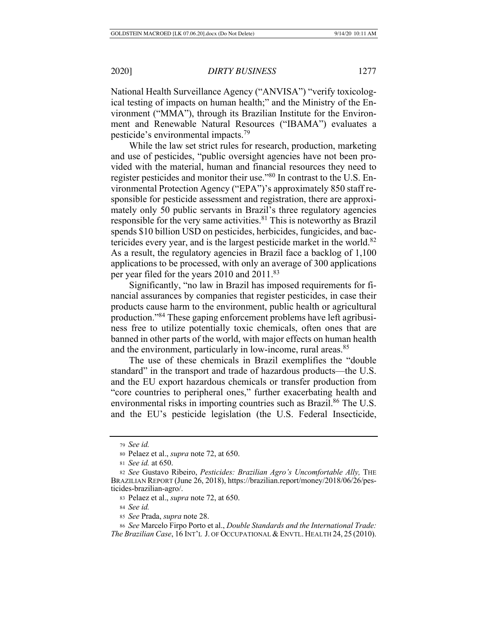National Health Surveillance Agency ("ANVISA") "verify toxicological testing of impacts on human health;" and the Ministry of the Environment ("MMA"), through its Brazilian Institute for the Environment and Renewable Natural Resources ("IBAMA") evaluates a pesticide's environmental impacts.<sup>79</sup>

While the law set strict rules for research, production, marketing and use of pesticides, "public oversight agencies have not been provided with the material, human and financial resources they need to register pesticides and monitor their use."80 In contrast to the U.S. Environmental Protection Agency ("EPA")'s approximately 850 staff responsible for pesticide assessment and registration, there are approximately only 50 public servants in Brazil's three regulatory agencies responsible for the very same activities.<sup>81</sup> This is noteworthy as Brazil spends \$10 billion USD on pesticides, herbicides, fungicides, and bactericides every year, and is the largest pesticide market in the world.<sup>82</sup> As a result, the regulatory agencies in Brazil face a backlog of 1,100 applications to be processed, with only an average of 300 applications per year filed for the years 2010 and 2011.83

Significantly, "no law in Brazil has imposed requirements for financial assurances by companies that register pesticides, in case their products cause harm to the environment, public health or agricultural production."84 These gaping enforcement problems have left agribusiness free to utilize potentially toxic chemicals, often ones that are banned in other parts of the world, with major effects on human health and the environment, particularly in low-income, rural areas.<sup>85</sup>

The use of these chemicals in Brazil exemplifies the "double standard" in the transport and trade of hazardous products—the U.S. and the EU export hazardous chemicals or transfer production from "core countries to peripheral ones," further exacerbating health and environmental risks in importing countries such as Brazil.<sup>86</sup> The U.S. and the EU's pesticide legislation (the U.S. Federal Insecticide,

<sup>79</sup> *See id.*

<sup>80</sup> Pelaez et al., *supra* note 72, at 650.

<sup>81</sup> *See id.* at 650.

<sup>82</sup> *See* Gustavo Ribeiro, *Pesticides: Brazilian Agro's Uncomfortable Ally,* THE BRAZILIAN REPORT (June 26, 2018), https://brazilian.report/money/2018/06/26/pesticides-brazilian-agro/.

<sup>83</sup> Pelaez et al., *supra* note 72, at 650.

<sup>84</sup> *See id.* 

<sup>85</sup> *See* Prada, *supra* note 28.

<sup>86</sup> *See* Marcelo Firpo Porto et al., *Double Standards and the International Trade: The Brazilian Case*, 16 INT'L J. OF OCCUPATIONAL &ENVTL. HEALTH 24, 25 (2010).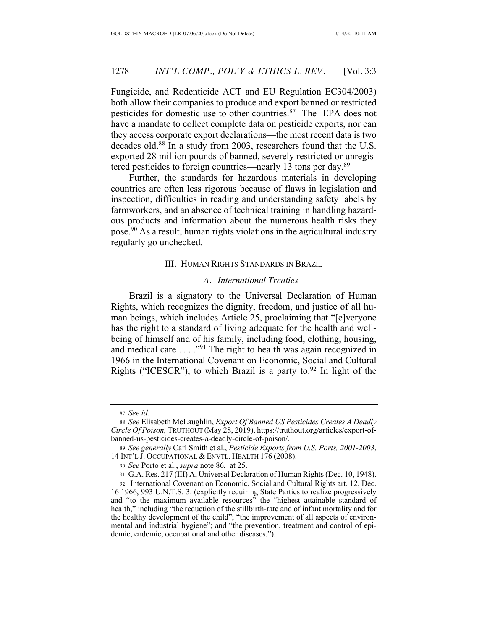Fungicide, and Rodenticide ACT and EU Regulation EC304/2003) both allow their companies to produce and export banned or restricted pesticides for domestic use to other countries.87 The EPA does not have a mandate to collect complete data on pesticide exports, nor can they access corporate export declarations—the most recent data is two decades old.<sup>88</sup> In a study from 2003, researchers found that the U.S. exported 28 million pounds of banned, severely restricted or unregistered pesticides to foreign countries—nearly 13 tons per day.89

Further, the standards for hazardous materials in developing countries are often less rigorous because of flaws in legislation and inspection, difficulties in reading and understanding safety labels by farmworkers, and an absence of technical training in handling hazardous products and information about the numerous health risks they pose.90 As a result, human rights violations in the agricultural industry regularly go unchecked.

#### III. HUMAN RIGHTS STANDARDS IN BRAZIL

#### *A. International Treaties*

Brazil is a signatory to the Universal Declaration of Human Rights, which recognizes the dignity, freedom, and justice of all human beings, which includes Article 25, proclaiming that "[e]veryone has the right to a standard of living adequate for the health and wellbeing of himself and of his family, including food, clothing, housing, and medical care  $\dots$  . . . . . . . The right to health was again recognized in 1966 in the International Covenant on Economic, Social and Cultural Rights ("ICESCR"), to which Brazil is a party to.<sup>92</sup> In light of the

<sup>87</sup> *See id.*

<sup>88</sup> *See* Elisabeth McLaughlin, *Export Of Banned US Pesticides Creates A Deadly Circle Of Poison,* TRUTHOUT (May 28, 2019), https://truthout.org/articles/export-ofbanned-us-pesticides-creates-a-deadly-circle-of-poison/.

<sup>89</sup> *See generally* Carl Smith et al., *Pesticide Exports from U.S. Ports, 2001-2003*, 14 INT'L J. OCCUPATIONAL & ENVTL. HEALTH 176 (2008).

<sup>90</sup> *See* Porto et al., *supra* note 86, at 25.

<sup>91</sup> G.A. Res. 217 (III) A, Universal Declaration of Human Rights (Dec. 10, 1948).

<sup>92</sup> International Covenant on Economic, Social and Cultural Rights art. 12, Dec. 16 1966, 993 U.N.T.S. 3. (explicitly requiring State Parties to realize progressively and "to the maximum available resources" the "highest attainable standard of health," including "the reduction of the stillbirth-rate and of infant mortality and for the healthy development of the child"; "the improvement of all aspects of environmental and industrial hygiene"; and "the prevention, treatment and control of epidemic, endemic, occupational and other diseases.").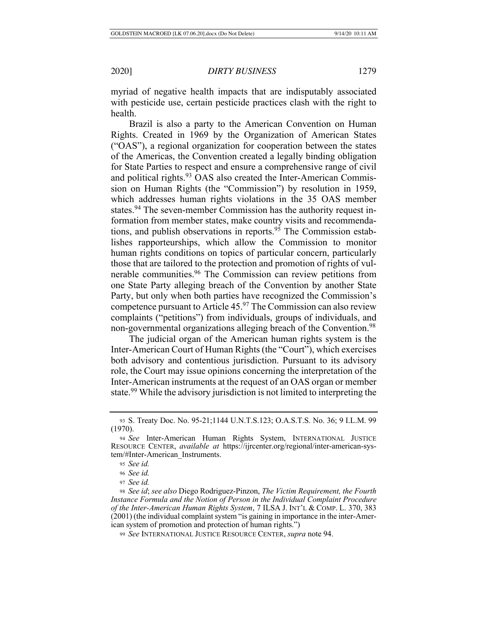myriad of negative health impacts that are indisputably associated with pesticide use, certain pesticide practices clash with the right to health.

Brazil is also a party to the American Convention on Human Rights. Created in 1969 by the Organization of American States ("OAS"), a regional organization for cooperation between the states of the Americas, the Convention created a legally binding obligation for State Parties to respect and ensure a comprehensive range of civil and political rights.<sup>93</sup> OAS also created the Inter-American Commission on Human Rights (the "Commission") by resolution in 1959, which addresses human rights violations in the 35 OAS member states.<sup>94</sup> The seven-member Commission has the authority request information from member states, make country visits and recommendations, and publish observations in reports.<sup>95</sup> The Commission establishes rapporteurships, which allow the Commission to monitor human rights conditions on topics of particular concern, particularly those that are tailored to the protection and promotion of rights of vulnerable communities.96 The Commission can review petitions from one State Party alleging breach of the Convention by another State Party, but only when both parties have recognized the Commission's competence pursuant to Article 45.97 The Commission can also review complaints ("petitions") from individuals, groups of individuals, and non-governmental organizations alleging breach of the Convention.<sup>98</sup>

The judicial organ of the American human rights system is the Inter-American Court of Human Rights (the "Court"), which exercises both advisory and contentious jurisdiction. Pursuant to its advisory role, the Court may issue opinions concerning the interpretation of the Inter-American instruments at the request of an OAS organ or member state.<sup>99</sup> While the advisory jurisdiction is not limited to interpreting the

<sup>93</sup> S. Treaty Doc. No. 95-21;1144 U.N.T.S.123; O.A.S.T.S. No. 36; 9 I.L.M. 99 (1970).

<sup>94</sup> *See* Inter-American Human Rights System, INTERNATIONAL JUSTICE RESOURCE CENTER, *available at* https://ijrcenter.org/regional/inter-american-system/#Inter-American\_Instruments.

<sup>95</sup> *See id.*

<sup>96</sup> *See id.*

<sup>97</sup> *See id.*

<sup>98</sup> *See id*; *see also* Diego Rodriguez-Pinzon, *The Victim Requirement, the Fourth Instance Formula and the Notion of Person in the Individual Complaint Procedure of the Inter-American Human Rights System*, 7 ILSA J. INT'L & COMP. L. 370, 383 (2001) (the individual complaint system "is gaining in importance in the inter-American system of promotion and protection of human rights.")

<sup>99</sup> *See* INTERNATIONAL JUSTICE RESOURCE CENTER, *supra* note 94.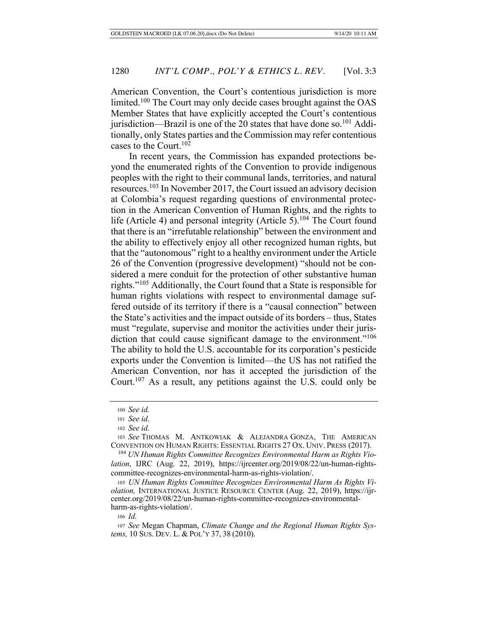American Convention, the Court's contentious jurisdiction is more limited.<sup>100</sup> The Court may only decide cases brought against the OAS Member States that have explicitly accepted the Court's contentious jurisdiction—Brazil is one of the 20 states that have done so. $^{101}$  Additionally, only States parties and the Commission may refer contentious cases to the Court.102

In recent years, the Commission has expanded protections beyond the enumerated rights of the Convention to provide indigenous peoples with the right to their communal lands, territories, and natural resources.103 In November 2017, the Court issued an advisory decision at Colombia's request regarding questions of environmental protection in the American Convention of Human Rights, and the rights to life (Article 4) and personal integrity (Article  $5$ ).<sup>104</sup> The Court found that there is an "irrefutable relationship" between the environment and the ability to effectively enjoy all other recognized human rights, but that the "autonomous" right to a healthy environment under the Article 26 of the Convention (progressive development) "should not be considered a mere conduit for the protection of other substantive human rights."105 Additionally, the Court found that a State is responsible for human rights violations with respect to environmental damage suffered outside of its territory if there is a "causal connection" between the State's activities and the impact outside of its borders – thus, States must "regulate, supervise and monitor the activities under their jurisdiction that could cause significant damage to the environment."<sup>106</sup> The ability to hold the U.S. accountable for its corporation's pesticide exports under the Convention is limited—the US has not ratified the American Convention, nor has it accepted the jurisdiction of the Court.<sup>107</sup> As a result, any petitions against the U.S. could only be

<sup>106</sup> *Id.*

<sup>100</sup> *See id.*

<sup>101</sup> *See id*.

<sup>102</sup> *See id.*

<sup>103</sup> *See* THOMAS M. ANTKOWIAK & ALEJANDRA GONZA, THE AMERICAN CONVENTION ON HUMAN RIGHTS: ESSENTIAL RIGHTS 27 OX. UNIV. PRESS (2017).

<sup>104</sup> *UN Human Rights Committee Recognizes Environmental Harm as Rights Violation*, IJRC (Aug. 22, 2019), https://ijrcenter.org/2019/08/22/un-human-rightscommittee-recognizes-environmental-harm-as-rights-violation/.

<sup>105</sup> *UN Human Rights Committee Recognizes Environmental Harm As Rights Violation,* INTERNATIONAL JUSTICE RESOURCE CENTER (Aug. 22, 2019), https://ijrcenter.org/2019/08/22/un-human-rights-committee-recognizes-environmentalharm-as-rights-violation/.

<sup>107</sup> *See* Megan Chapman, *Climate Change and the Regional Human Rights Systems,* 10 SUS. DEV. L. & POL'Y 37, 38 (2010).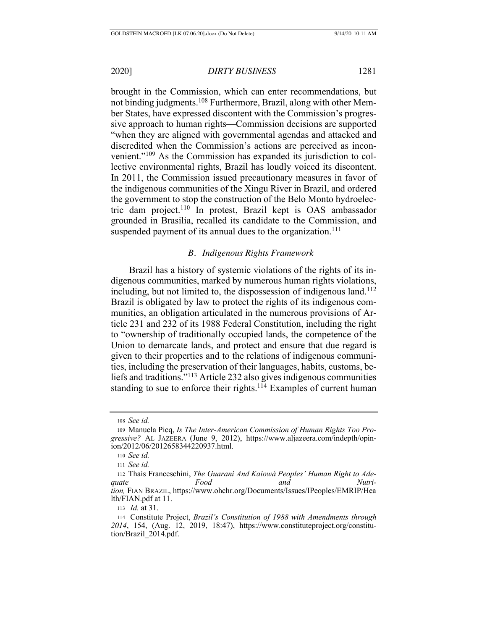brought in the Commission, which can enter recommendations, but not binding judgments.<sup>108</sup> Furthermore, Brazil, along with other Member States, have expressed discontent with the Commission's progressive approach to human rights—Commission decisions are supported "when they are aligned with governmental agendas and attacked and discredited when the Commission's actions are perceived as inconvenient."109 As the Commission has expanded its jurisdiction to collective environmental rights, Brazil has loudly voiced its discontent. In 2011, the Commission issued precautionary measures in favor of the indigenous communities of the Xingu River in Brazil, and ordered the government to stop the construction of the Belo Monto hydroelectric dam project.110 In protest, Brazil kept is OAS ambassador grounded in Brasilia, recalled its candidate to the Commission, and suspended payment of its annual dues to the organization.<sup>111</sup>

## *B. Indigenous Rights Framework*

Brazil has a history of systemic violations of the rights of its indigenous communities, marked by numerous human rights violations, including, but not limited to, the dispossession of indigenous land.<sup>112</sup> Brazil is obligated by law to protect the rights of its indigenous communities, an obligation articulated in the numerous provisions of Article 231 and 232 of its 1988 Federal Constitution, including the right to "ownership of traditionally occupied lands, the competence of the Union to demarcate lands, and protect and ensure that due regard is given to their properties and to the relations of indigenous communities, including the preservation of their languages, habits, customs, beliefs and traditions."113 Article 232 also gives indigenous communities standing to sue to enforce their rights.<sup>114</sup> Examples of current human

<sup>108</sup> *See id.*

<sup>109</sup> Manuela Picq, *Is The Inter-American Commission of Human Rights Too Progressive?* AL JAZEERA (June 9, 2012), https://www.aljazeera.com/indepth/opinion/2012/06/2012658344220937.html.

<sup>110</sup> *See id.*

<sup>111</sup> *See id.*

<sup>112</sup> Thaís Franceschini, *The Guarani And Kaiowá Peoples' Human Right to Adequate Food and Nutrition,* FIAN BRAZIL, https://www.ohchr.org/Documents/Issues/IPeoples/EMRIP/Hea lth/FIAN.pdf at 11.

<sup>113</sup> *Id.* at 31.

<sup>114</sup> Constitute Project, *Brazil's Constitution of 1988 with Amendments through 2014*, 154, (Aug. 12, 2019, 18:47), https://www.constituteproject.org/constitution/Brazil\_2014.pdf.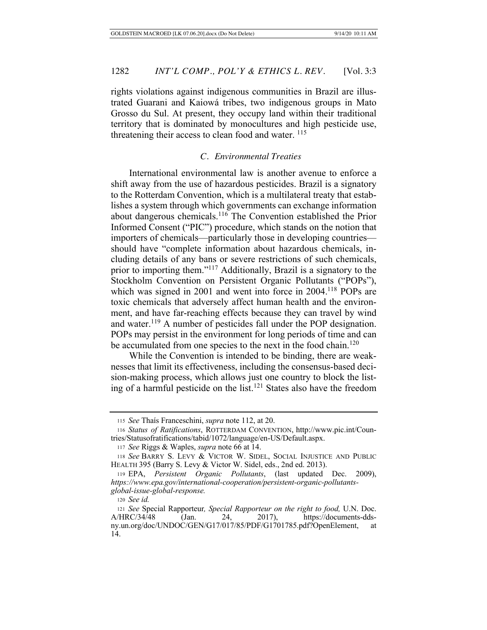rights violations against indigenous communities in Brazil are illustrated Guarani and Kaiowá tribes, two indigenous groups in Mato Grosso du Sul. At present, they occupy land within their traditional territory that is dominated by monocultures and high pesticide use, threatening their access to clean food and water. <sup>115</sup>

#### *C. Environmental Treaties*

International environmental law is another avenue to enforce a shift away from the use of hazardous pesticides. Brazil is a signatory to the Rotterdam Convention, which is a multilateral treaty that establishes a system through which governments can exchange information about dangerous chemicals.116 The Convention established the Prior Informed Consent ("PIC") procedure, which stands on the notion that importers of chemicals—particularly those in developing countries should have "complete information about hazardous chemicals, including details of any bans or severe restrictions of such chemicals, prior to importing them."117 Additionally, Brazil is a signatory to the Stockholm Convention on Persistent Organic Pollutants ("POPs"), which was signed in 2001 and went into force in 2004.<sup>118</sup> POPs are toxic chemicals that adversely affect human health and the environment, and have far-reaching effects because they can travel by wind and water.<sup>119</sup> A number of pesticides fall under the POP designation. POPs may persist in the environment for long periods of time and can be accumulated from one species to the next in the food chain.<sup>120</sup>

While the Convention is intended to be binding, there are weaknesses that limit its effectiveness, including the consensus-based decision-making process, which allows just one country to block the listing of a harmful pesticide on the list.<sup>121</sup> States also have the freedom

<sup>115</sup> *See* Thaís Franceschini, *supra* note 112, at 20.

<sup>116</sup> *Status of Ratifications*, ROTTERDAM CONVENTION, http://www.pic.int/Countries/Statusofratifications/tabid/1072/language/en-US/Default.aspx.

<sup>117</sup> *See* Riggs & Waples, *supra* note 66 at 14.

<sup>118</sup> *See* BARRY S. LEVY & VICTOR W. SIDEL, SOCIAL INJUSTICE AND PUBLIC HEALTH 395 (Barry S. Levy & Victor W. Sidel, eds., 2nd ed. 2013).

<sup>119</sup> EPA, *Persistent Organic Pollutants*, (last updated Dec. 2009), *https://www.epa.gov/international-cooperation/persistent-organic-pollutantsglobal-issue-global-response.*

<sup>120</sup> *See id.*

<sup>121</sup> *See* Special Rapporteur*, Special Rapporteur on the right to food,* U.N. Doc. A/HRC/34/48 (Jan. 24, 2017), https://documents-ddsny.un.org/doc/UNDOC/GEN/G17/017/85/PDF/G1701785.pdf?OpenElement, at 14.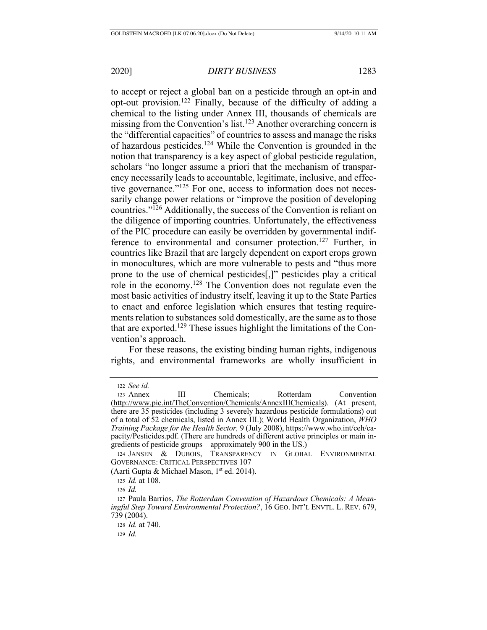to accept or reject a global ban on a pesticide through an opt-in and opt-out provision.122 Finally, because of the difficulty of adding a chemical to the listing under Annex III, thousands of chemicals are missing from the Convention's list.123 Another overarching concern is the "differential capacities" of countries to assess and manage the risks of hazardous pesticides.124 While the Convention is grounded in the notion that transparency is a key aspect of global pesticide regulation, scholars "no longer assume a priori that the mechanism of transparency necessarily leads to accountable, legitimate, inclusive, and effective governance."<sup>125</sup> For one, access to information does not necessarily change power relations or "improve the position of developing countries."126 Additionally, the success of the Convention is reliant on the diligence of importing countries. Unfortunately, the effectiveness of the PIC procedure can easily be overridden by governmental indifference to environmental and consumer protection.<sup>127</sup> Further, in countries like Brazil that are largely dependent on export crops grown in monocultures, which are more vulnerable to pests and "thus more prone to the use of chemical pesticides[,]" pesticides play a critical role in the economy.128 The Convention does not regulate even the most basic activities of industry itself, leaving it up to the State Parties to enact and enforce legislation which ensures that testing requirements relation to substances sold domestically, are the same as to those that are exported.129 These issues highlight the limitations of the Convention's approach.

For these reasons, the existing binding human rights, indigenous rights, and environmental frameworks are wholly insufficient in

<sup>122</sup> *See id.*

<sup>123</sup> Annex III Chemicals; Rotterdam Convention (http://www.pic.int/TheConvention/Chemicals/AnnexIIIChemicals). (At present, there are 35 pesticides (including 3 severely hazardous pesticide formulations) out of a total of 52 chemicals, listed in Annex III.); World Health Organization, *WHO Training Package for the Health Sector,* 9 (July 2008), https://www.who.int/ceh/capacity/Pesticides.pdf. (There are hundreds of different active principles or main ingredients of pesticide groups – approximately 900 in the US.)

<sup>124</sup> JANSEN & DUBOIS, TRANSPARENCY IN GLOBAL ENVIRONMENTAL GOVERNANCE: CRITICAL PERSPECTIVES 107

<sup>(</sup>Aarti Gupta & Michael Mason,  $1<sup>st</sup>$  ed. 2014).

<sup>125</sup> *Id.* at 108.

<sup>126</sup> *Id.* 

<sup>127</sup> Paula Barrios, *The Rotterdam Convention of Hazardous Chemicals: A Meaningful Step Toward Environmental Protection?*, 16 GEO. INT'L ENVTL. L. REV. 679, 739 (2004).

<sup>128</sup> *Id.* at 740.

<sup>129</sup> *Id.*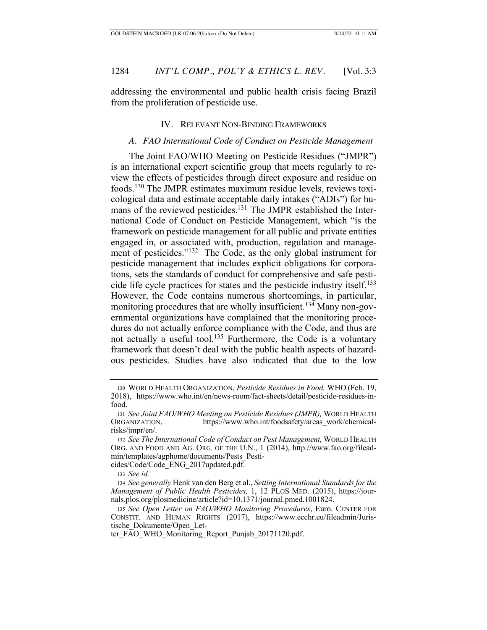addressing the environmental and public health crisis facing Brazil from the proliferation of pesticide use.

#### IV. RELEVANT NON-BINDING FRAMEWORKS

## *A. FAO International Code of Conduct on Pesticide Management*

The Joint FAO/WHO Meeting on Pesticide Residues ("JMPR") is an international expert scientific group that meets regularly to review the effects of pesticides through direct exposure and residue on foods.130 The JMPR estimates maximum residue levels, reviews toxicological data and estimate acceptable daily intakes ("ADIs") for humans of the reviewed pesticides.131 The JMPR established the International Code of Conduct on Pesticide Management, which "is the framework on pesticide management for all public and private entities engaged in, or associated with, production, regulation and management of pesticides."<sup>132</sup> The Code, as the only global instrument for pesticide management that includes explicit obligations for corporations, sets the standards of conduct for comprehensive and safe pesticide life cycle practices for states and the pesticide industry itself.133 However, the Code contains numerous shortcomings, in particular, monitoring procedures that are wholly insufficient.<sup>134</sup> Many non-governmental organizations have complained that the monitoring procedures do not actually enforce compliance with the Code, and thus are not actually a useful tool.<sup>135</sup> Furthermore, the Code is a voluntary framework that doesn't deal with the public health aspects of hazardous pesticides. Studies have also indicated that due to the low

cides/Code/Code\_ENG\_2017updated.pdf.

<sup>130</sup> WORLD HEALTH ORGANIZATION, *Pesticide Residues in Food,* WHO (Feb. 19, 2018), https://www.who.int/en/news-room/fact-sheets/detail/pesticide-residues-infood.

<sup>131</sup> *See Joint FAO/WHO Meeting on Pesticide Residues (JMPR),* WORLD HEALTH ORGANIZATION, https://www.who.int/foodsafety/areas\_work/chemicalrisks/jmpr/en/.

<sup>132</sup> *See The International Code of Conduct on Pest Management,* WORLD HEALTH ORG. AND FOOD AND AG. ORG. OF THE U.N., 1 (2014), http://www.fao.org/fileadmin/templates/agphome/documents/Pests\_Pesti-

<sup>133</sup> *See id.*

<sup>134</sup> *See generally* Henk van den Berg et al., *Setting International Standards for the Management of Public Health Pesticides,* 1, 12 PLOS MED. (2015), https://journals.plos.org/plosmedicine/article?id=10.1371/journal.pmed.1001824.

<sup>135</sup> *See Open Letter on FAO/WHO Monitoring Procedures*, Euro. CENTER FOR CONSTIT. AND HUMAN RIGHTS (2017), https://www.ecchr.eu/fileadmin/Juristische\_Dokumente/Open\_Let-

ter\_FAO\_WHO\_Monitoring\_Report\_Punjab\_20171120.pdf.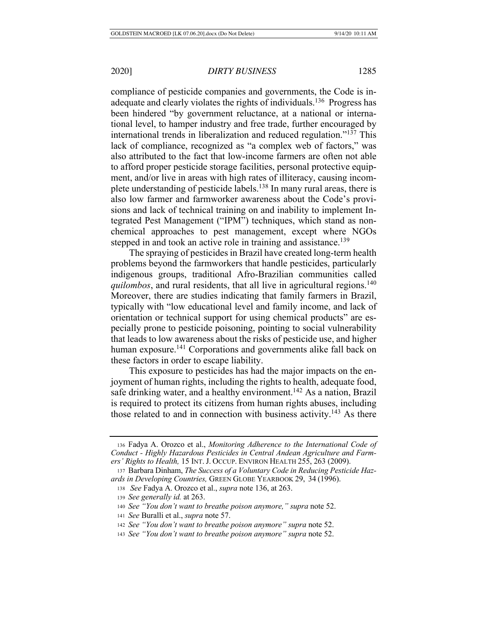compliance of pesticide companies and governments, the Code is inadequate and clearly violates the rights of individuals.136 Progress has been hindered "by government reluctance, at a national or international level, to hamper industry and free trade, further encouraged by international trends in liberalization and reduced regulation."137 This lack of compliance, recognized as "a complex web of factors," was also attributed to the fact that low-income farmers are often not able to afford proper pesticide storage facilities, personal protective equipment, and/or live in areas with high rates of illiteracy, causing incomplete understanding of pesticide labels.138 In many rural areas, there is also low farmer and farmworker awareness about the Code's provisions and lack of technical training on and inability to implement Integrated Pest Management ("IPM") techniques, which stand as nonchemical approaches to pest management, except where NGOs stepped in and took an active role in training and assistance.<sup>139</sup>

The spraying of pesticides in Brazil have created long-term health problems beyond the farmworkers that handle pesticides, particularly indigenous groups, traditional Afro-Brazilian communities called *quilombos*, and rural residents, that all live in agricultural regions.<sup>140</sup> Moreover, there are studies indicating that family farmers in Brazil, typically with "low educational level and family income, and lack of orientation or technical support for using chemical products" are especially prone to pesticide poisoning, pointing to social vulnerability that leads to low awareness about the risks of pesticide use, and higher human exposure.<sup>141</sup> Corporations and governments alike fall back on these factors in order to escape liability.

This exposure to pesticides has had the major impacts on the enjoyment of human rights, including the rights to health, adequate food, safe drinking water, and a healthy environment.<sup>142</sup> As a nation, Brazil is required to protect its citizens from human rights abuses, including those related to and in connection with business activity.<sup>143</sup> As there

<sup>136</sup> Fadya A. Orozco et al., *Monitoring Adherence to the International Code of Conduct - Highly Hazardous Pesticides in Central Andean Agriculture and Farmers' Rights to Health,* 15 INT. J. OCCUP. ENVIRON HEALTH 255, 263 (2009).

<sup>137</sup> Barbara Dinham, *The Success of a Voluntary Code in Reducing Pesticide Hazards in Developing Countries,* GREEN GLOBE YEARBOOK 29, 34 (1996).

<sup>138</sup> *See* Fadya A. Orozco et al., *supra* note 136, at 263.

<sup>139</sup> *See generally id.* at 263.

<sup>140</sup> *See "You don't want to breathe poison anymore," supra* note 52.

<sup>141</sup> *See* Buralli et al., *supra* note 57.

<sup>142</sup> *See "You don't want to breathe poison anymore" supra* note 52.

<sup>143</sup> *See "You don't want to breathe poison anymore" supra* note 52.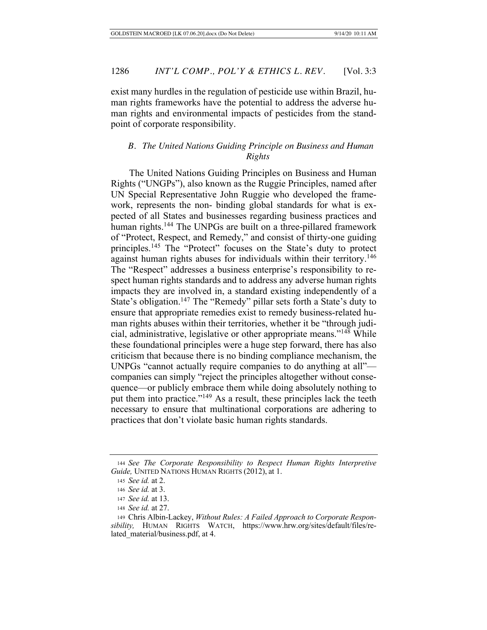exist many hurdles in the regulation of pesticide use within Brazil, human rights frameworks have the potential to address the adverse human rights and environmental impacts of pesticides from the standpoint of corporate responsibility.

## *B. The United Nations Guiding Principle on Business and Human Rights*

The United Nations Guiding Principles on Business and Human Rights ("UNGPs"), also known as the Ruggie Principles, named after UN Special Representative John Ruggie who developed the framework, represents the non- binding global standards for what is expected of all States and businesses regarding business practices and human rights.<sup>144</sup> The UNPGs are built on a three-pillared framework of "Protect, Respect, and Remedy," and consist of thirty-one guiding principles.145 The "Protect" focuses on the State's duty to protect against human rights abuses for individuals within their territory.<sup>146</sup> The "Respect" addresses a business enterprise's responsibility to respect human rights standards and to address any adverse human rights impacts they are involved in, a standard existing independently of a State's obligation.<sup>147</sup> The "Remedy" pillar sets forth a State's duty to ensure that appropriate remedies exist to remedy business-related human rights abuses within their territories, whether it be "through judicial, administrative, legislative or other appropriate means."148 While these foundational principles were a huge step forward, there has also criticism that because there is no binding compliance mechanism, the UNPGs "cannot actually require companies to do anything at all" companies can simply "reject the principles altogether without consequence—or publicly embrace them while doing absolutely nothing to put them into practice."149 As a result, these principles lack the teeth necessary to ensure that multinational corporations are adhering to practices that don't violate basic human rights standards.

<sup>144</sup> *See The Corporate Responsibility to Respect Human Rights Interpretive Guide,* UNITED NATIONS HUMAN RIGHTS (2012), at 1.

<sup>145</sup> *See id.* at 2.

<sup>146</sup> *See id.* at 3.

<sup>147</sup> *See id.* at 13.

<sup>148</sup> *See id.* at 27.

<sup>149</sup> Chris Albin-Lackey, *Without Rules: A Failed Approach to Corporate Responsibility,* HUMAN RIGHTS WATCH, https://www.hrw.org/sites/default/files/related\_material/business.pdf, at 4.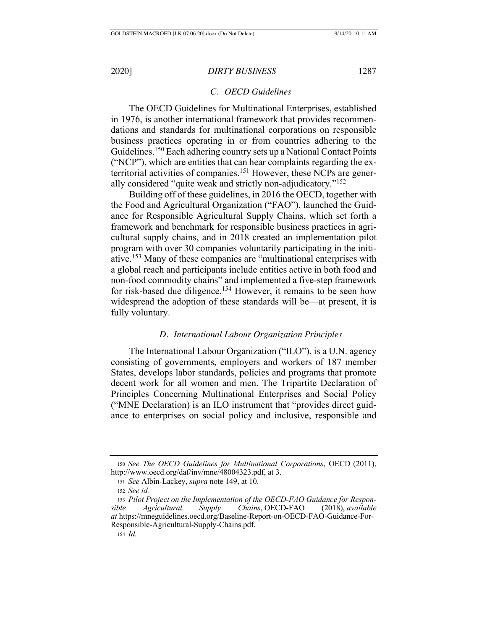## *C. OECD Guidelines*

The OECD Guidelines for Multinational Enterprises, established in 1976, is another international framework that provides recommendations and standards for multinational corporations on responsible business practices operating in or from countries adhering to the Guidelines.150 Each adhering country sets up a National Contact Points ("NCP"), which are entities that can hear complaints regarding the exterritorial activities of companies.<sup>151</sup> However, these NCPs are generally considered "quite weak and strictly non-adjudicatory."152

Building off of these guidelines, in 2016 the OECD, together with the Food and Agricultural Organization ("FAO"), launched the Guidance for Responsible Agricultural Supply Chains, which set forth a framework and benchmark for responsible business practices in agricultural supply chains, and in 2018 created an implementation pilot program with over 30 companies voluntarily participating in the initiative.153 Many of these companies are "multinational enterprises with a global reach and participants include entities active in both food and non-food commodity chains" and implemented a five-step framework for risk-based due diligence.154 However, it remains to be seen how widespread the adoption of these standards will be—at present, it is fully voluntary.

#### *D. International Labour Organization Principles*

The International Labour Organization ("ILO"), is a U.N. agency consisting of governments, employers and workers of 187 member States, develops labor standards, policies and programs that promote decent work for all women and men. The Tripartite Declaration of Principles Concerning Multinational Enterprises and Social Policy ("MNE Declaration) is an ILO instrument that "provides direct guidance to enterprises on social policy and inclusive, responsible and

<sup>150</sup> *See The OECD Guidelines for Multinational Corporations*, OECD (2011), http://www.oecd.org/daf/inv/mne/48004323.pdf, at 3.

<sup>151</sup> *See* Albin-Lackey, *supra* note 149, at 10.

<sup>152</sup> *See id.*

<sup>153</sup> *Pilot Project on the Implementation of the OECD-FAO Guidance for Responsible Agricultural Supply Chains*, OECD-FAO (2018), *available at* https://mneguidelines.oecd.org/Baseline-Report-on-OECD-FAO-Guidance-For-Responsible-Agricultural-Supply-Chains.pdf.

<sup>154</sup> *Id.*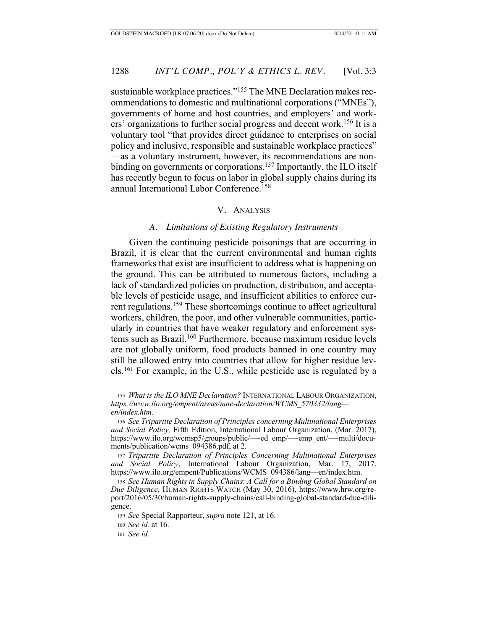sustainable workplace practices."155 The MNE Declaration makes recommendations to domestic and multinational corporations ("MNEs"), governments of home and host countries, and employers' and workers' organizations to further social progress and decent work.156 It is a voluntary tool "that provides direct guidance to enterprises on social policy and inclusive, responsible and sustainable workplace practices" —as a voluntary instrument, however, its recommendations are nonbinding on governments or corporations.<sup>157</sup> Importantly, the ILO itself has recently begun to focus on labor in global supply chains during its annual International Labor Conference.158

#### V. ANALYSIS

#### *A. Limitations of Existing Regulatory Instruments*

Given the continuing pesticide poisonings that are occurring in Brazil, it is clear that the current environmental and human rights frameworks that exist are insufficient to address what is happening on the ground. This can be attributed to numerous factors, including a lack of standardized policies on production, distribution, and acceptable levels of pesticide usage, and insufficient abilities to enforce current regulations.159 These shortcomings continue to affect agricultural workers, children, the poor, and other vulnerable communities, particularly in countries that have weaker regulatory and enforcement systems such as Brazil.<sup>160</sup> Furthermore, because maximum residue levels are not globally uniform, food products banned in one country may still be allowed entry into countries that allow for higher residue levels.161 For example, in the U.S., while pesticide use is regulated by a

<sup>155</sup> *What is the ILO MNE Declaration?* INTERNATIONAL LABOUR ORGANIZATION, *https://www.ilo.org/empent/areas/mne-declaration/WCMS\_570332/lang en/index.htm.*

<sup>156</sup> *See Tripartite Declaration of Principles concerning Multinational Enterprises and Social Policy,* Fifth Edition, International Labour Organization, (Mar. 2017), https://www.ilo.org/wcmsp5/groups/public/—-ed\_emp/—-emp\_ent/—-multi/documents/publication/wcms\_094386.pdf, at 2.

<sup>157</sup> *Tripartite Declaration of Principles Concerning Multinational Enterprises and Social Policy*, International Labour Organization, Mar. 17, 2017. https://www.ilo.org/empent/Publications/WCMS\_094386/lang—en/index.htm.

<sup>158</sup> *See Human Rights in Supply Chains*: *A Call for a Binding Global Standard on Due Diligence,* HUMAN RIGHTS WATCH (May 30, 2016), https://www.hrw.org/report/2016/05/30/human-rights-supply-chains/call-binding-global-standard-due-diligence.

<sup>159</sup> *See* Special Rapporteur, *supra* note 121, at 16.

<sup>160</sup> *See id.* at 16.

<sup>161</sup> *See id.*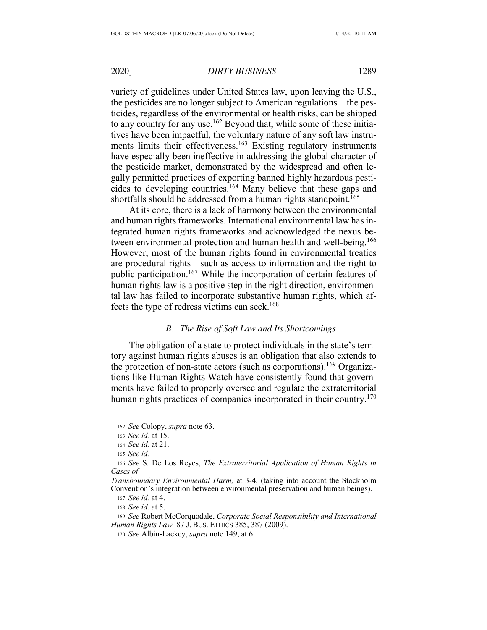variety of guidelines under United States law, upon leaving the U.S., the pesticides are no longer subject to American regulations—the pesticides, regardless of the environmental or health risks, can be shipped to any country for any use.<sup>162</sup> Beyond that, while some of these initiatives have been impactful, the voluntary nature of any soft law instruments limits their effectiveness.<sup>163</sup> Existing regulatory instruments have especially been ineffective in addressing the global character of the pesticide market, demonstrated by the widespread and often legally permitted practices of exporting banned highly hazardous pesticides to developing countries.164 Many believe that these gaps and shortfalls should be addressed from a human rights standpoint.<sup>165</sup>

At its core, there is a lack of harmony between the environmental and human rights frameworks. International environmental law has integrated human rights frameworks and acknowledged the nexus between environmental protection and human health and well-being.<sup>166</sup> However, most of the human rights found in environmental treaties are procedural rights—such as access to information and the right to public participation.167 While the incorporation of certain features of human rights law is a positive step in the right direction, environmental law has failed to incorporate substantive human rights, which affects the type of redress victims can seek.<sup>168</sup>

## *B. The Rise of Soft Law and Its Shortcomings*

The obligation of a state to protect individuals in the state's territory against human rights abuses is an obligation that also extends to the protection of non-state actors (such as corporations).<sup>169</sup> Organizations like Human Rights Watch have consistently found that governments have failed to properly oversee and regulate the extraterritorial human rights practices of companies incorporated in their country.<sup>170</sup>

<sup>169</sup> *See* Robert McCorquodale, *Corporate Social Responsibility and International Human Rights Law,* 87 J. BUS. ETHICS 385, 387 (2009).

<sup>162</sup> *See* Colopy, *supra* note 63.

<sup>163</sup> *See id.* at 15.

<sup>164</sup> *See id.* at 21.

<sup>165</sup> *See id.*

<sup>166</sup> *See* S. De Los Reyes, *The Extraterritorial Application of Human Rights in Cases of*

*Transboundary Environmental Harm,* at 3-4, (taking into account the Stockholm Convention's integration between environmental preservation and human beings).

<sup>167</sup> *See id.* at 4.

<sup>168</sup> *See id.* at 5.

<sup>170</sup> *See* Albin-Lackey, *supra* note 149, at 6.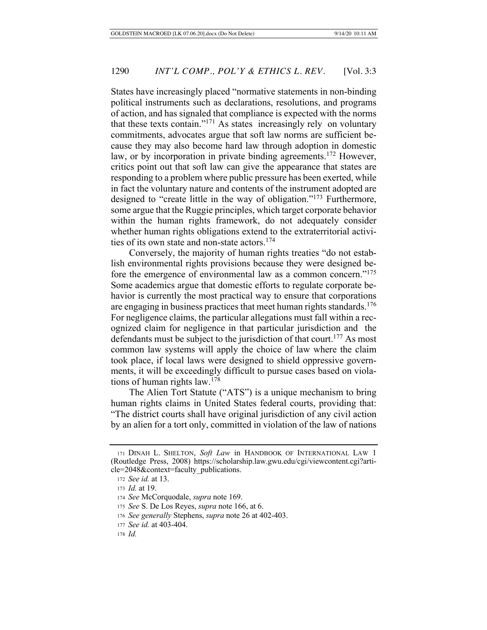States have increasingly placed "normative statements in non-binding political instruments such as declarations, resolutions, and programs of action, and has signaled that compliance is expected with the norms that these texts contain."171 As states increasingly rely on voluntary commitments, advocates argue that soft law norms are sufficient because they may also become hard law through adoption in domestic law, or by incorporation in private binding agreements.<sup>172</sup> However, critics point out that soft law can give the appearance that states are responding to a problem where public pressure has been exerted, while in fact the voluntary nature and contents of the instrument adopted are designed to "create little in the way of obligation."173 Furthermore, some argue that the Ruggie principles, which target corporate behavior within the human rights framework, do not adequately consider whether human rights obligations extend to the extraterritorial activities of its own state and non-state actors.<sup>174</sup>

Conversely, the majority of human rights treaties "do not establish environmental rights provisions because they were designed before the emergence of environmental law as a common concern."175 Some academics argue that domestic efforts to regulate corporate behavior is currently the most practical way to ensure that corporations are engaging in business practices that meet human rights standards.<sup>176</sup> For negligence claims, the particular allegations must fall within a recognized claim for negligence in that particular jurisdiction and the defendants must be subject to the jurisdiction of that court.<sup>177</sup> As most common law systems will apply the choice of law where the claim took place, if local laws were designed to shield oppressive governments, it will be exceedingly difficult to pursue cases based on violations of human rights law.178

The Alien Tort Statute ("ATS") is a unique mechanism to bring human rights claims in United States federal courts, providing that: "The district courts shall have original jurisdiction of any civil action by an alien for a tort only, committed in violation of the law of nations

<sup>171</sup> DINAH L. SHELTON, *Soft Law* in HANDBOOK OF INTERNATIONAL LAW 1 (Routledge Press, 2008) https://scholarship.law.gwu.edu/cgi/viewcontent.cgi?article=2048&context=faculty\_publications.

<sup>172</sup> *See id.* at 13.

<sup>173</sup> *Id.* at 19.

<sup>174</sup> *See* McCorquodale, *supra* note 169.

<sup>175</sup> *See* S. De Los Reyes, *supra* note 166, at 6.

<sup>176</sup> *See generally* Stephens, *supra* note 26 at 402-403.

<sup>177</sup> *See id.* at 403-404.

<sup>178</sup> *Id.*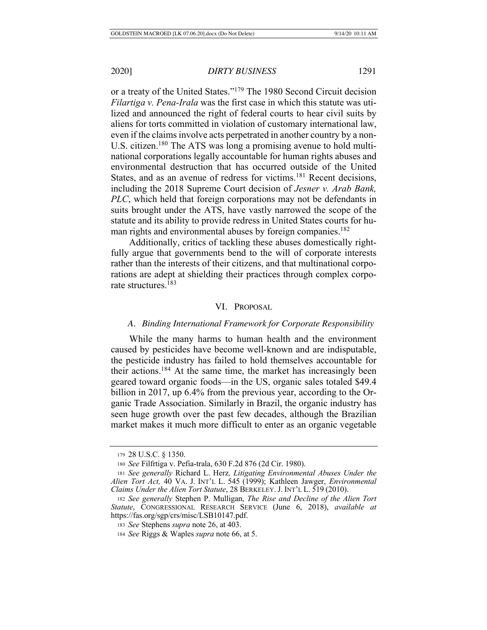or a treaty of the United States."179 The 1980 Second Circuit decision *Filartiga v. Pena-Irala* was the first case in which this statute was utilized and announced the right of federal courts to hear civil suits by aliens for torts committed in violation of customary international law, even if the claims involve acts perpetrated in another country by a non-U.S. citizen.<sup>180</sup> The ATS was long a promising avenue to hold multinational corporations legally accountable for human rights abuses and environmental destruction that has occurred outside of the United States, and as an avenue of redress for victims.<sup>181</sup> Recent decisions, including the 2018 Supreme Court decision of *Jesner v. Arab Bank, PLC*, which held that foreign corporations may not be defendants in suits brought under the ATS, have vastly narrowed the scope of the statute and its ability to provide redress in United States courts for human rights and environmental abuses by foreign companies.<sup>182</sup>

Additionally, critics of tackling these abuses domestically rightfully argue that governments bend to the will of corporate interests rather than the interests of their citizens, and that multinational corporations are adept at shielding their practices through complex corporate structures.183

#### VI. PROPOSAL

#### *A. Binding International Framework for Corporate Responsibility*

While the many harms to human health and the environment caused by pesticides have become well-known and are indisputable, the pesticide industry has failed to hold themselves accountable for their actions.184 At the same time, the market has increasingly been geared toward organic foods—in the US, organic sales totaled \$49.4 billion in 2017, up 6.4% from the previous year, according to the Organic Trade Association. Similarly in Brazil, the organic industry has seen huge growth over the past few decades, although the Brazilian market makes it much more difficult to enter as an organic vegetable

<sup>179</sup> 28 U.S.C. § 1350.

<sup>180</sup> *See* Filfrtiga v. Pefia-trala, 630 F.2d 876 (2d Cir. 1980).

<sup>181</sup> *See generally* Richard L. Herz*, Litigating Environmental Abuses Under the Alien Tort Act,* 40 VA. J. INT'L L. 545 (1999); Kathleen Jawger, *Environmental Claims Under the Alien Tort Statute*, 28 BERKELEY. J. INT'L L. 519 (2010).

<sup>182</sup> *See generally* Stephen P. Mulligan, *The Rise and Decline of the Alien Tort Statute*, CONGRESSIONAL RESEARCH SERVICE (June 6, 2018), *available at*  https://fas.org/sgp/crs/misc/LSB10147.pdf.

<sup>183</sup> *See* Stephens *supra* note 26, at 403.

<sup>184</sup> *See* Riggs & Waples *supra* note 66, at 5.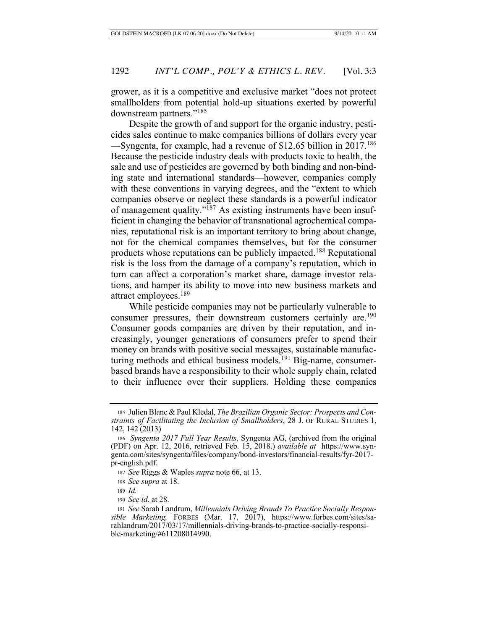grower, as it is a competitive and exclusive market "does not protect smallholders from potential hold-up situations exerted by powerful downstream partners."185

Despite the growth of and support for the organic industry, pesticides sales continue to make companies billions of dollars every year —Syngenta, for example, had a revenue of \$12.65 billion in  $2017$ <sup>186</sup> Because the pesticide industry deals with products toxic to health, the sale and use of pesticides are governed by both binding and non-binding state and international standards—however, companies comply with these conventions in varying degrees, and the "extent to which companies observe or neglect these standards is a powerful indicator of management quality."<sup>187</sup> As existing instruments have been insufficient in changing the behavior of transnational agrochemical companies, reputational risk is an important territory to bring about change, not for the chemical companies themselves, but for the consumer products whose reputations can be publicly impacted.188 Reputational risk is the loss from the damage of a company's reputation, which in turn can affect a corporation's market share, damage investor relations, and hamper its ability to move into new business markets and attract employees.189

While pesticide companies may not be particularly vulnerable to consumer pressures, their downstream customers certainly are.<sup>190</sup> Consumer goods companies are driven by their reputation, and increasingly, younger generations of consumers prefer to spend their money on brands with positive social messages, sustainable manufacturing methods and ethical business models.<sup>191</sup> Big-name, consumerbased brands have a responsibility to their whole supply chain, related to their influence over their suppliers. Holding these companies

<sup>185</sup> Julien Blanc & Paul Kledal, *The Brazilian Organic Sector: Prospects and Constraints of Facilitating the Inclusion of Smallholders*, 28 J. OF RURAL STUDIES 1, 142, 142 (2013)

<sup>186</sup> *Syngenta 2017 Full Year Results*, Syngenta AG, (archived from the original (PDF) on Apr. 12, 2016, retrieved Feb. 15, 2018.) *available at* https://www.syngenta.com/sites/syngenta/files/company/bond-investors/financial-results/fyr-2017 pr-english.pdf.

<sup>187</sup> *See* Riggs & Waples *supra* note 66, at 13.

<sup>188</sup> *See supra* at 18.

<sup>189</sup> *Id.*

<sup>190</sup> *See id*. at 28.

<sup>191</sup> *See* Sarah Landrum, *Millennials Driving Brands To Practice Socially Responsible Marketing,* FORBES (Mar. 17, 2017), https://www.forbes.com/sites/sarahlandrum/2017/03/17/millennials-driving-brands-to-practice-socially-responsible-marketing/#611208014990.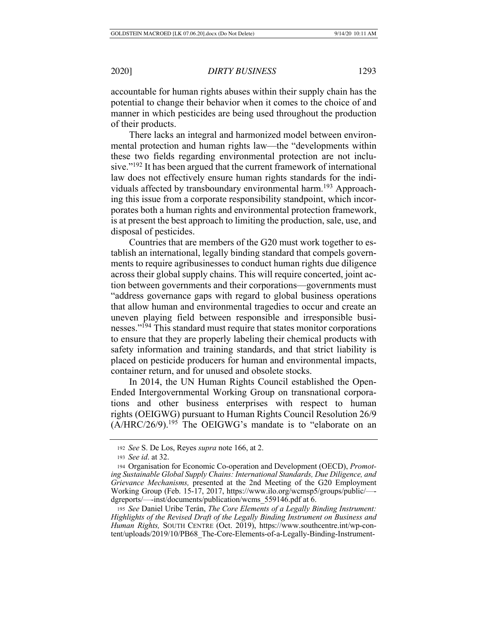accountable for human rights abuses within their supply chain has the potential to change their behavior when it comes to the choice of and manner in which pesticides are being used throughout the production of their products.

There lacks an integral and harmonized model between environmental protection and human rights law—the "developments within these two fields regarding environmental protection are not inclusive."<sup>192</sup> It has been argued that the current framework of international law does not effectively ensure human rights standards for the individuals affected by transboundary environmental harm.<sup>193</sup> Approaching this issue from a corporate responsibility standpoint, which incorporates both a human rights and environmental protection framework, is at present the best approach to limiting the production, sale, use, and disposal of pesticides.

Countries that are members of the G20 must work together to establish an international, legally binding standard that compels governments to require agribusinesses to conduct human rights due diligence across their global supply chains. This will require concerted, joint action between governments and their corporations—governments must "address governance gaps with regard to global business operations that allow human and environmental tragedies to occur and create an uneven playing field between responsible and irresponsible businesses."194 This standard must require that states monitor corporations to ensure that they are properly labeling their chemical products with safety information and training standards, and that strict liability is placed on pesticide producers for human and environmental impacts, container return, and for unused and obsolete stocks.

In 2014, the UN Human Rights Council established the Open-Ended Intergovernmental Working Group on transnational corporations and other business enterprises with respect to human rights (OEIGWG) pursuant to Human Rights Council Resolution 26/9  $(A/HRC/26/9).<sup>195</sup>$  The OEIGWG's mandate is to "elaborate on an

<sup>192</sup> *See* S. De Los, Reyes *supra* note 166, at 2.

<sup>193</sup> *See id*. at 32.

<sup>194</sup> Organisation for Economic Co-operation and Development (OECD), *Promoting Sustainable Global Supply Chains: International Standards, Due Diligence, and Grievance Mechanisms,* presented at the 2nd Meeting of the G20 Employment Working Group (Feb. 15-17, 2017, https://www.ilo.org/wcmsp5/groups/public/— dgreports/—-inst/documents/publication/wcms 559146.pdf at 6.

<sup>195</sup> *See* Daniel Uribe Terán, *The Core Elements of a Legally Binding Instrument: Highlights of the Revised Draft of the Legally Binding Instrument on Business and Human Rights,* SOUTH CENTRE (Oct. 2019), https://www.southcentre.int/wp-content/uploads/2019/10/PB68\_The-Core-Elements-of-a-Legally-Binding-Instrument-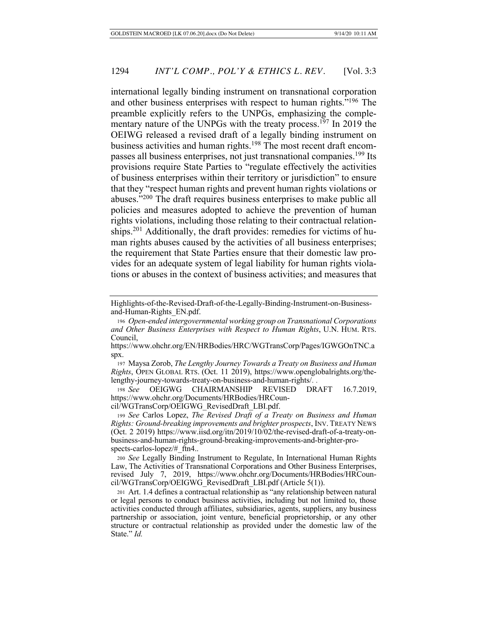international legally binding instrument on transnational corporation and other business enterprises with respect to human rights."196 The preamble explicitly refers to the UNPGs, emphasizing the complementary nature of the UNPGs with the treaty process.<sup>197</sup> In 2019 the OEIWG released a revised draft of a legally binding instrument on business activities and human rights.<sup>198</sup> The most recent draft encompasses all business enterprises, not just transnational companies.<sup>199</sup> Its provisions require State Parties to "regulate effectively the activities of business enterprises within their territory or jurisdiction" to ensure that they "respect human rights and prevent human rights violations or abuses."200 The draft requires business enterprises to make public all policies and measures adopted to achieve the prevention of human rights violations, including those relating to their contractual relationships.201 Additionally, the draft provides: remedies for victims of human rights abuses caused by the activities of all business enterprises; the requirement that State Parties ensure that their domestic law provides for an adequate system of legal liability for human rights violations or abuses in the context of business activities; and measures that

<sup>197</sup> Maysa Zorob, *The Lengthy Journey Towards a Treaty on Business and Human Rights*, OPEN GLOBAL RTS. (Oct. 11 2019), https://www.openglobalrights.org/thelengthy-journey-towards-treaty-on-business-and-human-rights/. .

<sup>198</sup> *See* OEIGWG CHAIRMANSHIP REVISED DRAFT 16.7.2019, https://www.ohchr.org/Documents/HRBodies/HRCoun-

cil/WGTransCorp/OEIGWG\_RevisedDraft\_LBI.pdf.

<sup>199</sup> *See* Carlos Lopez, *The Revised Draft of a Treaty on Business and Human Rights: Ground-breaking improvements and brighter prospects*, INV. TREATY NEWS (Oct. 2 2019) https://www.iisd.org/itn/2019/10/02/the-revised-draft-of-a-treaty-onbusiness-and-human-rights-ground-breaking-improvements-and-brighter-prospects-carlos-lopez/# ftn4..

<sup>200</sup> *See* Legally Binding Instrument to Regulate, In International Human Rights Law, The Activities of Transnational Corporations and Other Business Enterprises, revised July 7, 2019, https://www.ohchr.org/Documents/HRBodies/HRCouncil/WGTransCorp/OEIGWG\_RevisedDraft\_LBI.pdf (Article 5(1)).

<sup>201</sup> Art. 1.4 defines a contractual relationship as "any relationship between natural or legal persons to conduct business activities, including but not limited to, those activities conducted through affiliates, subsidiaries, agents, suppliers, any business partnership or association, joint venture, beneficial proprietorship, or any other structure or contractual relationship as provided under the domestic law of the State." *Id.*

Highlights-of-the-Revised-Draft-of-the-Legally-Binding-Instrument-on-Businessand-Human-Rights\_EN.pdf.

<sup>196</sup> *Open-ended intergovernmental working group on Transnational Corporations and Other Business Enterprises with Respect to Human Rights*, U.N. HUM. RTS. Council,

https://www.ohchr.org/EN/HRBodies/HRC/WGTransCorp/Pages/IGWGOnTNC.a spx.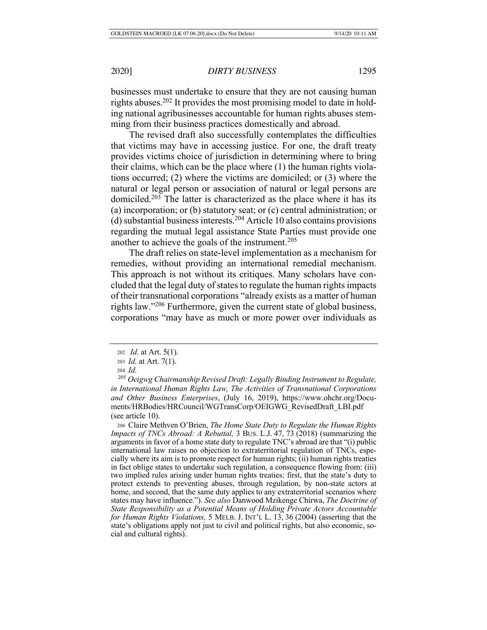businesses must undertake to ensure that they are not causing human rights abuses.202 It provides the most promising model to date in holding national agribusinesses accountable for human rights abuses stemming from their business practices domestically and abroad.

The revised draft also successfully contemplates the difficulties that victims may have in accessing justice. For one, the draft treaty provides victims choice of jurisdiction in determining where to bring their claims, which can be the place where (1) the human rights violations occurred; (2) where the victims are domiciled; or (3) where the natural or legal person or association of natural or legal persons are domiciled.203 The latter is characterized as the place where it has its (a) incorporation; or (b) statutory seat; or (c) central administration; or  $(d)$  substantial business interests.<sup>204</sup> Article 10 also contains provisions regarding the mutual legal assistance State Parties must provide one another to achieve the goals of the instrument.<sup>205</sup>

The draft relies on state-level implementation as a mechanism for remedies, without providing an international remedial mechanism. This approach is not without its critiques. Many scholars have concluded that the legal duty of states to regulate the human rights impacts of their transnational corporations "already exists as a matter of human rights law."206 Furthermore, given the current state of global business, corporations "may have as much or more power over individuals as

<sup>202</sup> *Id.* at Art. 5(1).

<sup>203</sup> *Id.* at Art. 7(1).

<sup>204</sup> *Id.*

<sup>205</sup> *Oeigwg Chairmanship Revised Draft: Legally Binding Instrument to Regulate, in International Human Rights Law, The Activities of Transnational Corporations and Other Business Enterprises*, (July 16, 2019), https://www.ohchr.org/Documents/HRBodies/HRCouncil/WGTransCorp/OEIGWG\_RevisedDraft\_LBI.pdf (see article 10).

<sup>206</sup> Claire Methven O'Brien, *The Home State Duty to Regulate the Human Rights Impacts of TNCs Abroad: A Rebuttal,* 3 BUS. L.J. 47, 73 (2018) (summarizing the arguments in favor of a home state duty to regulate TNC's abroad are that "(i) public international law raises no objection to extraterritorial regulation of TNCs, especially where its aim is to promote respect for human rights; (ii) human rights treaties in fact oblige states to undertake such regulation, a consequence flowing from: (iii) two implied rules arising under human rights treaties: first, that the state's duty to protect extends to preventing abuses, through regulation, by non-state actors at home, and second, that the same duty applies to any extraterritorial scenarios where states may have influence."). *See also* Danwood Mzikenge Chirwa, *The Doctrine of State Responsibility as a Potential Means of Holding Private Actors Accountable for Human Rights Violations,* 5 MELB. J. INT'L L. 13, 36 (2004) (asserting that the state's obligations apply not just to civil and political rights, but also economic, social and cultural rights).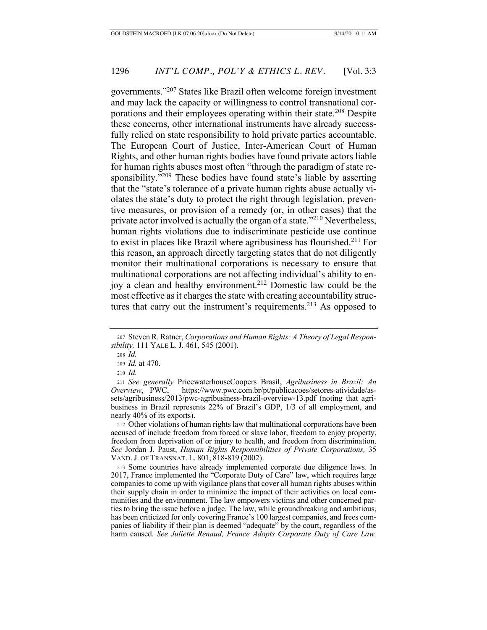governments."207 States like Brazil often welcome foreign investment and may lack the capacity or willingness to control transnational corporations and their employees operating within their state.<sup>208</sup> Despite these concerns, other international instruments have already successfully relied on state responsibility to hold private parties accountable. The European Court of Justice, Inter-American Court of Human Rights, and other human rights bodies have found private actors liable for human rights abuses most often "through the paradigm of state responsibility."<sup>209</sup> These bodies have found state's liable by asserting that the "state's tolerance of a private human rights abuse actually violates the state's duty to protect the right through legislation, preventive measures, or provision of a remedy (or, in other cases) that the private actor involved is actually the organ of a state. $12^{10}$  Nevertheless, human rights violations due to indiscriminate pesticide use continue to exist in places like Brazil where agribusiness has flourished.211 For this reason, an approach directly targeting states that do not diligently monitor their multinational corporations is necessary to ensure that multinational corporations are not affecting individual's ability to enjoy a clean and healthy environment.212 Domestic law could be the most effective as it charges the state with creating accountability structures that carry out the instrument's requirements.<sup>213</sup> As opposed to

<sup>212</sup> Other violations of human rights law that multinational corporations have been accused of include freedom from forced or slave labor, freedom to enjoy property, freedom from deprivation of or injury to health, and freedom from discrimination. *See* Jordan J. Paust, *Human Rights Responsibilities of Private Corporations,* 35 VAND. J. OF TRANSNAT. L. 801, 818-819 (2002).

<sup>213</sup> Some countries have already implemented corporate due diligence laws. In 2017, France implemented the "Corporate Duty of Care" law, which requires large companies to come up with vigilance plans that cover all human rights abuses within their supply chain in order to minimize the impact of their activities on local communities and the environment. The law empowers victims and other concerned parties to bring the issue before a judge. The law, while groundbreaking and ambitious, has been criticized for only covering France's 100 largest companies, and frees companies of liability if their plan is deemed "adequate" by the court, regardless of the harm caused. *See Juliette Renaud, France Adopts Corporate Duty of Care Law,* 

<sup>207</sup> Steven R. Ratner, *Corporations and Human Rights: A Theory of Legal Responsibility,* 111 YALE L. J. 461, 545 (2001).

<sup>208</sup> *Id.*

<sup>209</sup> *Id.* at 470.

<sup>210</sup> *Id.*

<sup>211</sup> *See generally* PricewaterhouseCoopers Brasil, *Agribusiness in Brazil: An Overview*, PWC, https://www.pwc.com.br/pt/publicacoes/setores-atividade/assets/agribusiness/2013/pwc-agribusiness-brazil-overview-13.pdf (noting that agribusiness in Brazil represents 22% of Brazil's GDP, 1/3 of all employment, and nearly 40% of its exports).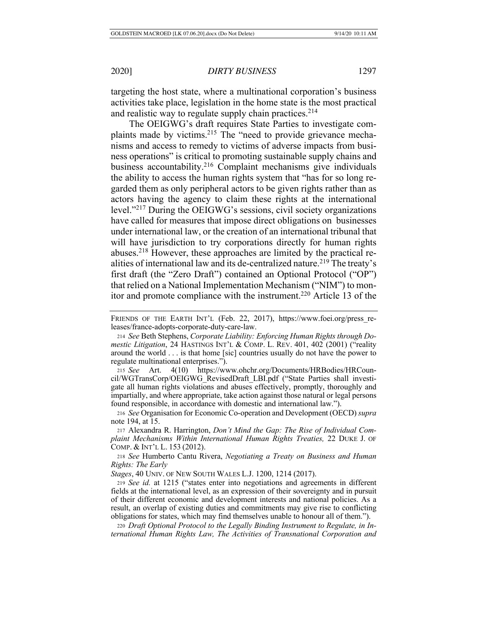targeting the host state, where a multinational corporation's business activities take place, legislation in the home state is the most practical and realistic way to regulate supply chain practices.<sup>214</sup>

The OEIGWG's draft requires State Parties to investigate complaints made by victims.<sup>215</sup> The "need to provide grievance mechanisms and access to remedy to victims of adverse impacts from business operations" is critical to promoting sustainable supply chains and business accountability.216 Complaint mechanisms give individuals the ability to access the human rights system that "has for so long regarded them as only peripheral actors to be given rights rather than as actors having the agency to claim these rights at the international level."217 During the OEIGWG's sessions, civil society organizations have called for measures that impose direct obligations on businesses under international law, or the creation of an international tribunal that will have jurisdiction to try corporations directly for human rights abuses.218 However, these approaches are limited by the practical realities of international law and its de-centralized nature.<sup>219</sup> The treaty's first draft (the "Zero Draft") contained an Optional Protocol ("OP") that relied on a National Implementation Mechanism ("NIM") to monitor and promote compliance with the instrument.220 Article 13 of the

<sup>215</sup> *See* Art. 4(10) https://www.ohchr.org/Documents/HRBodies/HRCouncil/WGTransCorp/OEIGWG\_RevisedDraft\_LBI.pdf ("State Parties shall investigate all human rights violations and abuses effectively, promptly, thoroughly and impartially, and where appropriate, take action against those natural or legal persons found responsible, in accordance with domestic and international law.").

<sup>216</sup> *See* Organisation for Economic Co-operation and Development (OECD) *supra* note 194, at 15.

<sup>217</sup> Alexandra R. Harrington, *Don't Mind the Gap: The Rise of Individual Complaint Mechanisms Within International Human Rights Treaties,* 22 DUKE J. OF COMP. & INT'L L. 153 (2012).

*Stages*, 40 UNIV. OF NEW SOUTH WALES L.J. 1200, 1214 (2017).

<sup>219</sup> *See id.* at 1215 ("states enter into negotiations and agreements in different fields at the international level, as an expression of their sovereignty and in pursuit of their different economic and development interests and national policies. As a result, an overlap of existing duties and commitments may give rise to conflicting obligations for states, which may find themselves unable to honour all of them.").

<sup>220</sup> *Draft Optional Protocol to the Legally Binding Instrument to Regulate, in International Human Rights Law, The Activities of Transnational Corporation and* 

FRIENDS OF THE EARTH INT'L (Feb. 22, 2017), https://www.foei.org/press\_releases/france-adopts-corporate-duty-care-law.

<sup>214</sup> *See* Beth Stephens, *Corporate Liability: Enforcing Human Rights through Domestic Litigation*, 24 HASTINGS INT'L & COMP. L. REV. 401, 402 (2001) ("reality around the world . . . is that home [sic] countries usually do not have the power to regulate multinational enterprises.").

<sup>218</sup> *See* Humberto Cantu Rivera, *Negotiating a Treaty on Business and Human Rights: The Early*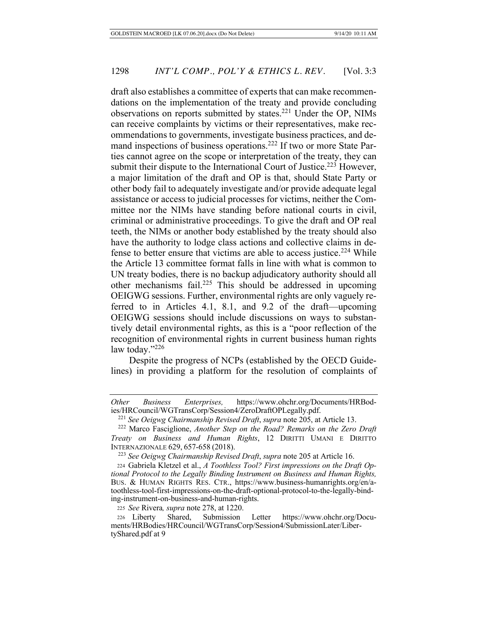draft also establishes a committee of experts that can make recommendations on the implementation of the treaty and provide concluding observations on reports submitted by states.221 Under the OP, NIMs can receive complaints by victims or their representatives, make recommendations to governments, investigate business practices, and demand inspections of business operations.<sup>222</sup> If two or more State Parties cannot agree on the scope or interpretation of the treaty, they can submit their dispute to the International Court of Justice.<sup>223</sup> However, a major limitation of the draft and OP is that, should State Party or other body fail to adequately investigate and/or provide adequate legal assistance or access to judicial processes for victims, neither the Committee nor the NIMs have standing before national courts in civil, criminal or administrative proceedings. To give the draft and OP real teeth, the NIMs or another body established by the treaty should also have the authority to lodge class actions and collective claims in defense to better ensure that victims are able to access justice.<sup>224</sup> While the Article 13 committee format falls in line with what is common to UN treaty bodies, there is no backup adjudicatory authority should all other mechanisms fail.225 This should be addressed in upcoming OEIGWG sessions. Further, environmental rights are only vaguely referred to in Articles 4.1, 8.1, and 9.2 of the draft—upcoming OEIGWG sessions should include discussions on ways to substantively detail environmental rights, as this is a "poor reflection of the recognition of environmental rights in current business human rights law today."226

Despite the progress of NCPs (established by the OECD Guidelines) in providing a platform for the resolution of complaints of

<sup>225</sup> *See* Rivera*, supra* note 278, at 1220.

*Other Business Enterprises,* https://www.ohchr.org/Documents/HRBodies/HRCouncil/WGTransCorp/Session4/ZeroDraftOPLegally.pdf.

<sup>221</sup> *See Oeigwg Chairmanship Revised Draft*, *supra* note 205, at Article 13.

<sup>222</sup> Marco Fasciglione, *Another Step on the Road? Remarks on the Zero Draft Treaty on Business and Human Rights*, 12 DIRITTI UMANI E DIRITTO INTERNAZIONALE 629, 657-658 (2018). 223 *See Oeigwg Chairmanship Revised Draft*, *supra* note 205 at Article 16.

<sup>224</sup> Gabriela Kletzel et al., *A Toothless Tool? First impressions on the Draft Optional Protocol to the Legally Binding Instrument on Business and Human Rights,*  BUS. & HUMAN RIGHTS RES. CTR., https://www.business-humanrights.org/en/atoothless-tool-first-impressions-on-the-draft-optional-protocol-to-the-legally-binding-instrument-on-business-and-human-rights.

<sup>226</sup> Liberty Shared, Submission Letter https://www.ohchr.org/Documents/HRBodies/HRCouncil/WGTransCorp/Session4/SubmissionLater/LibertyShared.pdf at 9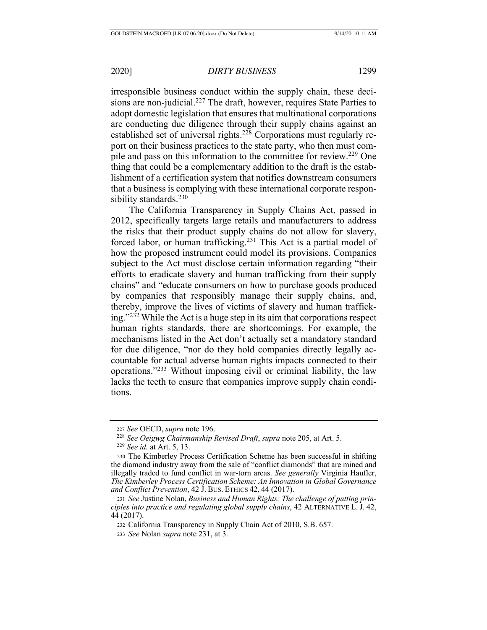irresponsible business conduct within the supply chain, these decisions are non-judicial.<sup>227</sup> The draft, however, requires State Parties to adopt domestic legislation that ensures that multinational corporations are conducting due diligence through their supply chains against an established set of universal rights.<sup>228</sup> Corporations must regularly report on their business practices to the state party, who then must compile and pass on this information to the committee for review.<sup>229</sup> One thing that could be a complementary addition to the draft is the establishment of a certification system that notifies downstream consumers that a business is complying with these international corporate responsibility standards.<sup>230</sup>

The California Transparency in Supply Chains Act, passed in 2012, specifically targets large retails and manufacturers to address the risks that their product supply chains do not allow for slavery, forced labor, or human trafficking.231 This Act is a partial model of how the proposed instrument could model its provisions. Companies subject to the Act must disclose certain information regarding "their efforts to eradicate slavery and human trafficking from their supply chains" and "educate consumers on how to purchase goods produced by companies that responsibly manage their supply chains, and, thereby, improve the lives of victims of slavery and human trafficking."232 While the Act is a huge step in its aim that corporations respect human rights standards, there are shortcomings. For example, the mechanisms listed in the Act don't actually set a mandatory standard for due diligence, "nor do they hold companies directly legally accountable for actual adverse human rights impacts connected to their operations."233 Without imposing civil or criminal liability, the law lacks the teeth to ensure that companies improve supply chain conditions.

<sup>227</sup> *See* OECD, *supra* note 196.

 <sup>228</sup> *See Oeigwg Chairmanship Revised Draft*, *supra* note 205, at Art. 5.

 <sup>229</sup> *See id.* at Art. 5, 13.

<sup>230</sup> The Kimberley Process Certification Scheme has been successful in shifting the diamond industry away from the sale of "conflict diamonds" that are mined and illegally traded to fund conflict in war-torn areas. *See generally* Virginia Haufler, *The Kimberley Process Certification Scheme: An Innovation in Global Governance and Conflict Prevention*, 42 J. BUS. ETHICS 42, 44 (2017).

<sup>231</sup> *See* Justine Nolan, *Business and Human Rights: The challenge of putting principles into practice and regulating global supply chains*, 42 ALTERNATIVE L. J. 42, 44 (2017).

<sup>232</sup> California Transparency in Supply Chain Act of 2010, S.B. 657.

<sup>233</sup> *See* Nolan *supra* note 231, at 3.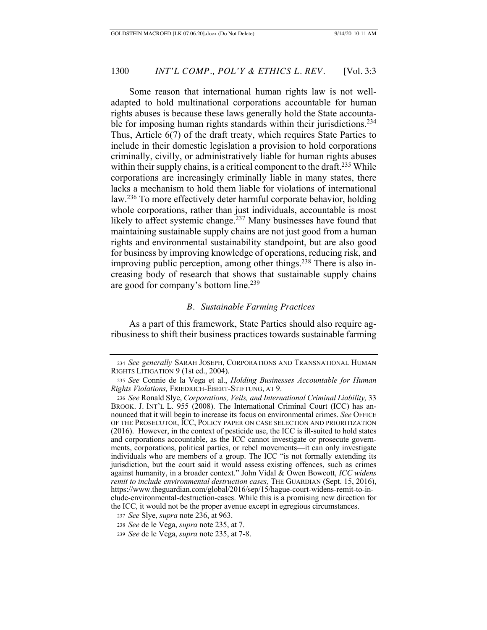Some reason that international human rights law is not welladapted to hold multinational corporations accountable for human rights abuses is because these laws generally hold the State accountable for imposing human rights standards within their jurisdictions.<sup>234</sup> Thus, Article 6(7) of the draft treaty, which requires State Parties to include in their domestic legislation a provision to hold corporations criminally, civilly, or administratively liable for human rights abuses within their supply chains, is a critical component to the draft.<sup>235</sup> While corporations are increasingly criminally liable in many states, there lacks a mechanism to hold them liable for violations of international law.236 To more effectively deter harmful corporate behavior, holding whole corporations, rather than just individuals, accountable is most likely to affect systemic change.<sup>237</sup> Many businesses have found that maintaining sustainable supply chains are not just good from a human rights and environmental sustainability standpoint, but are also good for business by improving knowledge of operations, reducing risk, and improving public perception, among other things.<sup>238</sup> There is also increasing body of research that shows that sustainable supply chains are good for company's bottom line.<sup>239</sup>

#### *B. Sustainable Farming Practices*

As a part of this framework, State Parties should also require agribusiness to shift their business practices towards sustainable farming

<sup>234</sup> *See generally* SARAH JOSEPH, CORPORATIONS AND TRANSNATIONAL HUMAN RIGHTS LITIGATION 9 (1st ed., 2004).

<sup>235</sup> *See* Connie de la Vega et al., *Holding Businesses Accountable for Human Rights Violations,* FRIEDRICH-EBERT-STIFTUNG, AT 9.

<sup>236</sup> *See* Ronald Slye, *Corporations, Veils, and International Criminal Liability,* 33 BROOK. J. INT'L L. 955 (2008). The International Criminal Court (ICC) has announced that it will begin to increase its focus on environmental crimes. *See* OFFICE OF THE PROSECUTOR, ICC, POLICY PAPER ON CASE SELECTION AND PRIORITIZATION (2016). However, in the context of pesticide use, the ICC is ill-suited to hold states and corporations accountable, as the ICC cannot investigate or prosecute governments, corporations, political parties, or rebel movements—it can only investigate individuals who are members of a group. The ICC "is not formally extending its jurisdiction, but the court said it would assess existing offences, such as crimes against humanity, in a broader context." John Vidal & Owen Bowcott, *ICC widens remit to include environmental destruction cases,* THE GUARDIAN (Sept. 15, 2016), https://www.theguardian.com/global/2016/sep/15/hague-court-widens-remit-to-include-environmental-destruction-cases. While this is a promising new direction for the ICC, it would not be the proper avenue except in egregious circumstances.

<sup>237</sup> *See* Slye, *supra* note 236, at 963.

<sup>238</sup> *See* de le Vega, *supra* note 235, at 7.

<sup>239</sup> *See* de le Vega, *supra* note 235, at 7-8.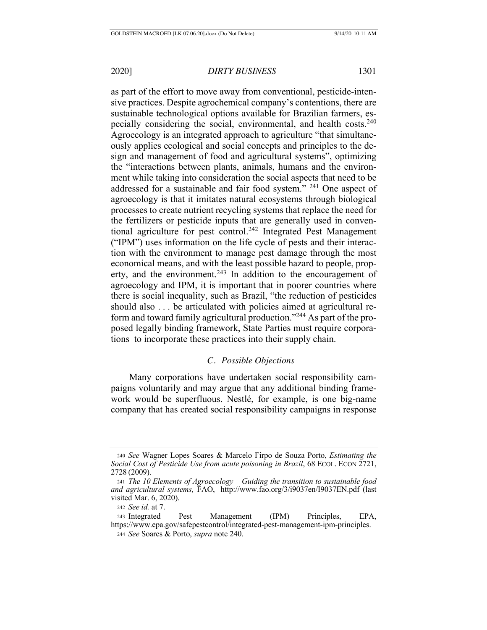as part of the effort to move away from conventional, pesticide-intensive practices. Despite agrochemical company's contentions, there are sustainable technological options available for Brazilian farmers, especially considering the social, environmental, and health costs.<sup>240</sup> Agroecology is an integrated approach to agriculture "that simultaneously applies ecological and social concepts and principles to the design and management of food and agricultural systems", optimizing the "interactions between plants, animals, humans and the environment while taking into consideration the social aspects that need to be addressed for a sustainable and fair food system." 241 One aspect of agroecology is that it imitates natural ecosystems through biological processes to create nutrient recycling systems that replace the need for the fertilizers or pesticide inputs that are generally used in conventional agriculture for pest control.<sup>242</sup> Integrated Pest Management ("IPM") uses information on the life cycle of pests and their interaction with the environment to manage pest damage through the most economical means, and with the least possible hazard to people, property, and the environment.<sup>243</sup> In addition to the encouragement of agroecology and IPM, it is important that in poorer countries where there is social inequality, such as Brazil, "the reduction of pesticides should also . . . be articulated with policies aimed at agricultural reform and toward family agricultural production."244 As part of the proposed legally binding framework, State Parties must require corporations to incorporate these practices into their supply chain.

## *C. Possible Objections*

Many corporations have undertaken social responsibility campaigns voluntarily and may argue that any additional binding framework would be superfluous. Nestlé, for example, is one big-name company that has created social responsibility campaigns in response

<sup>240</sup> *See* Wagner Lopes Soares & Marcelo Firpo de Souza Porto, *Estimating the Social Cost of Pesticide Use from acute poisoning in Brazil*, 68 ECOL. ECON 2721, 2728 (2009).

<sup>241</sup> *The 10 Elements of Agroecology – Guiding the transition to sustainable food and agricultural systems,* FAO, http://www.fao.org/3/i9037en/I9037EN.pdf (last visited Mar. 6, 2020).

<sup>242</sup> *See id.* at 7.

<sup>243</sup> Integrated Pest Management (IPM) Principles, EPA, https://www.epa.gov/safepestcontrol/integrated-pest-management-ipm-principles. <sup>244</sup> *See* Soares & Porto, *supra* note 240.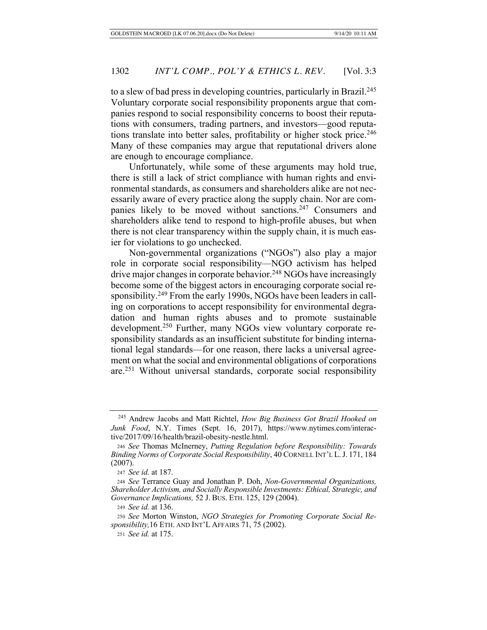to a slew of bad press in developing countries, particularly in Brazil.<sup>245</sup> Voluntary corporate social responsibility proponents argue that companies respond to social responsibility concerns to boost their reputations with consumers, trading partners, and investors—good reputations translate into better sales, profitability or higher stock price.<sup>246</sup> Many of these companies may argue that reputational drivers alone are enough to encourage compliance.

Unfortunately, while some of these arguments may hold true, there is still a lack of strict compliance with human rights and environmental standards, as consumers and shareholders alike are not necessarily aware of every practice along the supply chain. Nor are companies likely to be moved without sanctions.<sup>247</sup> Consumers and shareholders alike tend to respond to high-profile abuses, but when there is not clear transparency within the supply chain, it is much easier for violations to go unchecked.

Non-governmental organizations ("NGOs") also play a major role in corporate social responsibility—NGO activism has helped drive major changes in corporate behavior.<sup>248</sup> NGOs have increasingly become some of the biggest actors in encouraging corporate social responsibility.<sup>249</sup> From the early 1990s, NGOs have been leaders in calling on corporations to accept responsibility for environmental degradation and human rights abuses and to promote sustainable development.<sup>250</sup> Further, many NGOs view voluntary corporate responsibility standards as an insufficient substitute for binding international legal standards—for one reason, there lacks a universal agreement on what the social and environmental obligations of corporations are.251 Without universal standards, corporate social responsibility

<sup>245</sup> Andrew Jacobs and Matt Richtel, *How Big Business Got Brazil Hooked on Junk Food*, N.Y. Times (Sept. 16, 2017), https://www.nytimes.com/interactive/2017/09/16/health/brazil-obesity-nestle.html.

<sup>246</sup> *See* Thomas McInerney, *Putting Regulation before Responsibility: Towards Binding Norms of Corporate Social Responsibility*, 40 CORNELL INT'L L.J. 171, 184 (2007).

<sup>247</sup> *See id.* at 187.

<sup>248</sup> *See* Terrance Guay and Jonathan P. Doh, *Non-Governmental Organizations, Shareholder Activism, and Socially Responsible Investments: Ethical, Strategic, and Governance Implications,* 52 J. BUS. ETH. 125, 129 (2004).

<sup>249</sup> *See id.* at 136.

<sup>250</sup> *See* Morton Winston, *NGO Strategies for Promoting Corporate Social Responsibility,*16 ETH. AND INT'L AFFAIRS 71, 75 (2002).

<sup>251</sup> *See id.* at 175.